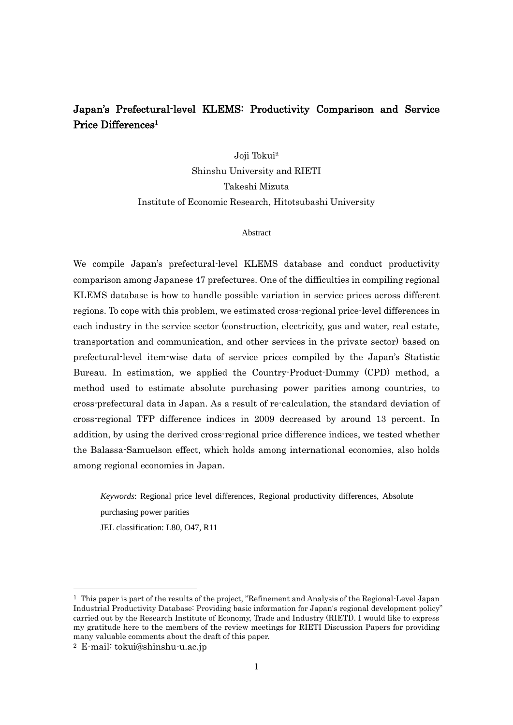# Japan's Prefectural-level KLEMS: Productivity Comparison and Service Price Differences**<sup>1</sup>**

Joji Tokui<sup>2</sup>

Shinshu University and RIETI Takeshi Mizuta Institute of Economic Research, Hitotsubashi University

# Abstract

We compile Japan's prefectural-level KLEMS database and conduct productivity comparison among Japanese 47 prefectures. One of the difficulties in compiling regional KLEMS database is how to handle possible variation in service prices across different regions. To cope with this problem, we estimated cross-regional price-level differences in each industry in the service sector (construction, electricity, gas and water, real estate, transportation and communication, and other services in the private sector) based on prefectural-level item-wise data of service prices compiled by the Japan's Statistic Bureau. In estimation, we applied the Country-Product-Dummy (CPD) method, a method used to estimate absolute purchasing power parities among countries, to cross-prefectural data in Japan. As a result of re-calculation, the standard deviation of cross-regional TFP difference indices in 2009 decreased by around 13 percent. In addition, by using the derived cross-regional price difference indices, we tested whether the Balassa-Samuelson effect, which holds among international economies, also holds among regional economies in Japan.

*Keywords*: Regional price level differences, Regional productivity differences, Absolute purchasing power parities

JEL classification: L80, O47, R11

 $\overline{a}$ 

<sup>&</sup>lt;sup>1</sup> This paper is part of the results of the project, "Refinement and Analysis of the Regional-Level Japan Industrial Productivity Database: Providing basic information for Japan's regional development policy" carried out by the Research Institute of Economy, Trade and Industry (RIETI). I would like to express my gratitude here to the members of the review meetings for RIETI Discussion Papers for providing many valuable comments about the draft of this paper.

<sup>2</sup> E-mail: tokui@shinshu-u.ac.jp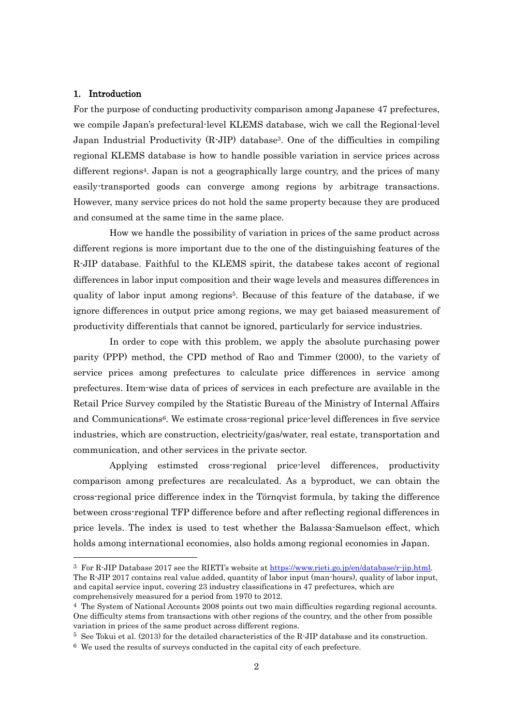## 1. Introduction

-

For the purpose of conducting productivity comparison among Japanese 47 prefectures, we compile Japan's prefectural-level KLEMS database, wich we call the Regional-level Japan Industrial Productivity  $(R-JIP)$  database<sup>3</sup>. One of the difficulties in compiling regional KLEMS database is how to handle possible variation in service prices across different regions4. Japan is not a geographically large country, and the prices of many easily-transported goods can converge among regions by arbitrage transactions. However, many service prices do not hold the same property because they are produced and consumed at the same time in the same place.

How we handle the possibility of variation in prices of the same product across different regions is more important due to the one of the distinguishing features of the R-JIP database. Faithful to the KLEMS spirit, the databese takes accont of regional differences in labor input composition and their wage levels and measures differences in quality of labor input among regions<sup>5</sup>. Because of this feature of the database, if we ignore differences in output price among regions, we may get baiased measurement of productivity differentials that cannot be ignored, particularly for service industries.

In order to cope with this problem, we apply the absolute purchasing power parity (PPP) method, the CPD method of Rao and Timmer (2000), to the variety of service prices among prefectures to calculate price differences in service among prefectures. Item-wise data of prices of services in each prefecture are available in the Retail Price Survey compiled by the Statistic Bureau of the Ministry of Internal Affairs and Communications6. We estimate cross-regional price-level differences in five service industries, which are construction, electricity/gas/water, real estate, transportation and communication, and other services in the private sector.

Applying estimsted cross-regional price-level differences, productivity comparison among prefectures are recalculated. As a byproduct, we can obtain the cross-regional price difference index in the Törnqvist formula, by taking the difference between cross-regional TFP difference before and after reflecting regional differences in price levels. The index is used to test whether the Balassa-Samuelson effect, which holds among international economies, also holds among regional economies in Japan.

<sup>3</sup> For R-JIP Database 2017 see the RIETI's website at [https://www.rieti.go.jp/en/database/r-jip.html.](https://www.rieti.go.jp/en/database/r-jip.html) The R-JIP 2017 contains real value added, quantity of labor input (man-hours), quality of labor input, and capital service input, covering 23 industry classifications in 47 prefectures, which are comprehensively measured for a period from 1970 to 2012.

<sup>4</sup> The System of National Accounts 2008 points out two main difficulties regarding regional accounts. One difficulty stems from transactions with other regions of the country, and the other from possible variation in prices of the same product across different regions.

 $5$  See Tokui et al. (2013) for the detailed characteristics of the R-JIP database and its construction.

<sup>6</sup> We used the results of surveys conducted in the capital city of each prefecture.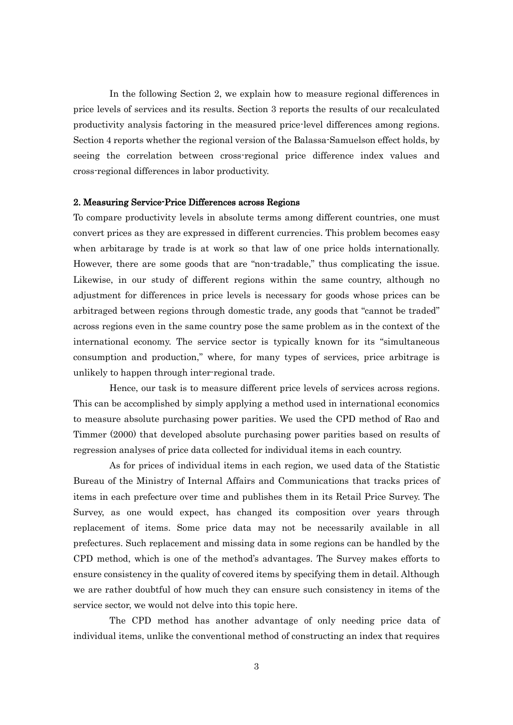In the following Section 2, we explain how to measure regional differences in price levels of services and its results. Section 3 reports the results of our recalculated productivity analysis factoring in the measured price-level differences among regions. Section 4 reports whether the regional version of the Balassa-Samuelson effect holds, by seeing the correlation between cross-regional price difference index values and cross-regional differences in labor productivity.

#### 2. Measuring Service-Price Differences across Regions

To compare productivity levels in absolute terms among different countries, one must convert prices as they are expressed in different currencies. This problem becomes easy when arbitarage by trade is at work so that law of one price holds internationally. However, there are some goods that are "non-tradable," thus complicating the issue. Likewise, in our study of different regions within the same country, although no adjustment for differences in price levels is necessary for goods whose prices can be arbitraged between regions through domestic trade, any goods that "cannot be traded" across regions even in the same country pose the same problem as in the context of the international economy. The service sector is typically known for its "simultaneous consumption and production," where, for many types of services, price arbitrage is unlikely to happen through inter-regional trade.

Hence, our task is to measure different price levels of services across regions. This can be accomplished by simply applying a method used in international economics to measure absolute purchasing power parities. We used the CPD method of Rao and Timmer (2000) that developed absolute purchasing power parities based on results of regression analyses of price data collected for individual items in each country.

As for prices of individual items in each region, we used data of the Statistic Bureau of the Ministry of Internal Affairs and Communications that tracks prices of items in each prefecture over time and publishes them in its Retail Price Survey. The Survey, as one would expect, has changed its composition over years through replacement of items. Some price data may not be necessarily available in all prefectures. Such replacement and missing data in some regions can be handled by the CPD method, which is one of the method's advantages. The Survey makes efforts to ensure consistency in the quality of covered items by specifying them in detail. Although we are rather doubtful of how much they can ensure such consistency in items of the service sector, we would not delve into this topic here.

The CPD method has another advantage of only needing price data of individual items, unlike the conventional method of constructing an index that requires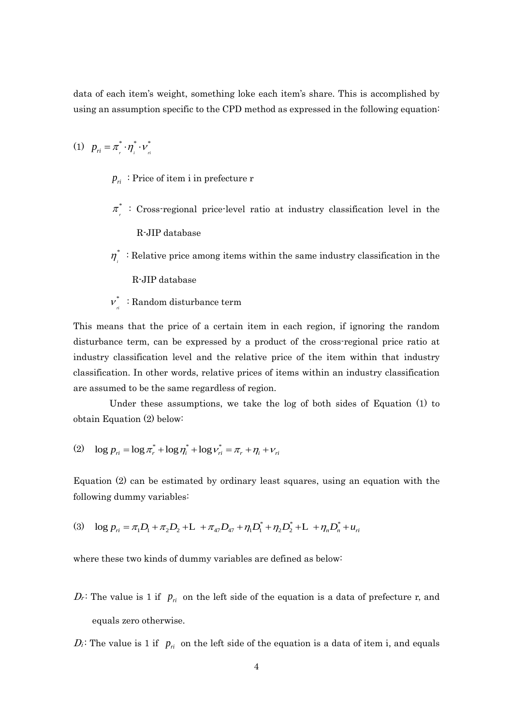data of each item's weight, something loke each item's share. This is accomplished by using an assumption specific to the CPD method as expressed in the following equation:

$$
(1) \quad p_{ri} = \pi_r^* \cdot \eta_i^* \cdot \nu_{ri}^*
$$

- $p_{\overrightarrow{n}}$ : Price of item i in prefecture r
- \*  $\pi$ <sup>\*</sup>
<sup>\*</sup>
. Cross-regional price-level ratio at industry classification level in the R-JIP database
- \*  $\eta_i^*$ : Relative price among items within the same industry classification in the R-JIP database

\*  $v_{\eta}^*$ : Random disturbance term

This means that the price of a certain item in each region, if ignoring the random disturbance term, can be expressed by a product of the cross-regional price ratio at industry classification level and the relative price of the item within that industry classification. In other words, relative prices of items within an industry classification are assumed to be the same regardless of region.

Under these assumptions, we take the log of both sides of Equation (1) to obtain Equation (2) below:

(2) 
$$
\log p_{ri} = \log \pi_r^* + \log \eta_i^* + \log \nu_{ri}^* = \pi_r + \eta_i + \nu_{ri}
$$

Equation (2) can be estimated by ordinary least squares, using an equation with the following dummy variables: ving dummy variables:<br>log  $p_{ri} = \pi_1 D_1 + \pi_2 D_2 + L_1 + \pi_{47} D_{47} + \eta_1 D_1^* + \eta_2 D_2^* + L_1 + \eta_n D_n^* + u_{ri}$ 

(3) 
$$
\log p_{ri} = \pi_1 D_1 + \pi_2 D_2 + L + \pi_{47} D_{47} + \eta_1 D_1^* + \eta_2 D_2^* + L + \eta_n D_n^* + u_{ri}
$$

where these two kinds of dummy variables are defined as below:

- $D_r$ : The value is 1 if  $p_{ri}$  on the left side of the equation is a data of prefecture r, and equals zero otherwise.
- $D_i$ : The value is 1 if  $p_{\mu}$  on the left side of the equation is a data of item i, and equals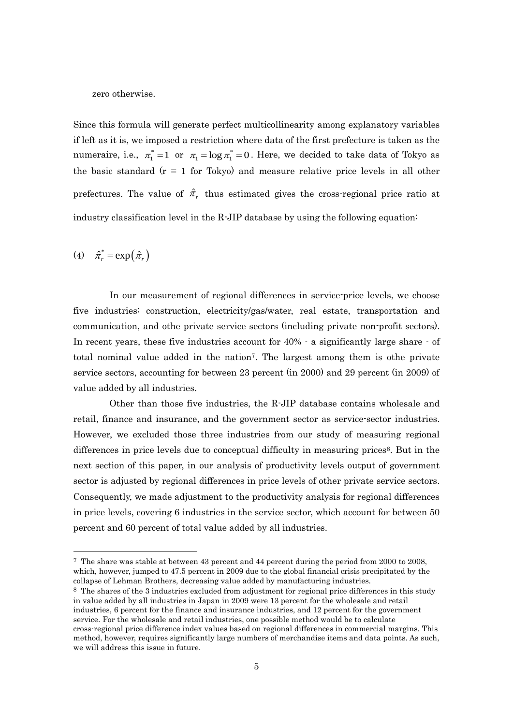zero otherwise.

Since this formula will generate perfect multicollinearity among explanatory variables if left as it is, we imposed a restriction where data of the first prefecture is taken as the numeraire, i.e.,  $\pi_1^* = 1$  or  $\pi_1 = \log \pi_1^* = 0$ . Here, we decided to take data of Tokyo as the basic standard  $(r = 1$  for Tokyo) and measure relative price levels in all other prefectures. The value of  $\hat{\pi}_r$  thus estimated gives the cross-regional price ratio at industry classification level in the R-JIP database by using the following equation:

(4)  $\hat{\pi}_r^* = \exp(\hat{\pi}_r)$ 

-

In our measurement of regional differences in service-price levels, we choose five industries: construction, electricity/gas/water, real estate, transportation and communication, and othe private service sectors (including private non-profit sectors). In recent years, these five industries account for  $40\%$   $\cdot$  a significantly large share  $\cdot$  of total nominal value added in the nation7. The largest among them is othe private service sectors, accounting for between 23 percent (in 2000) and 29 percent (in 2009) of value added by all industries.

Other than those five industries, the R-JIP database contains wholesale and retail, finance and insurance, and the government sector as service-sector industries. However, we excluded those three industries from our study of measuring regional differences in price levels due to conceptual difficulty in measuring prices<sup>8</sup>. But in the next section of this paper, in our analysis of productivity levels output of government sector is adjusted by regional differences in price levels of other private service sectors. Consequently, we made adjustment to the productivity analysis for regional differences in price levels, covering 6 industries in the service sector, which account for between 50 percent and 60 percent of total value added by all industries.

<sup>7</sup> The share was stable at between 43 percent and 44 percent during the period from 2000 to 2008, which, however, jumped to 47.5 percent in 2009 due to the global financial crisis precipitated by the collapse of Lehman Brothers, decreasing value added by manufacturing industries.

<sup>&</sup>lt;sup>8</sup> The shares of the 3 industries excluded from adjustment for regional price differences in this study in value added by all industries in Japan in 2009 were 13 percent for the wholesale and retail industries, 6 percent for the finance and insurance industries, and 12 percent for the government service. For the wholesale and retail industries, one possible method would be to calculate cross-regional price difference index values based on regional differences in commercial margins. This method, however, requires significantly large numbers of merchandise items and data points. As such, we will address this issue in future.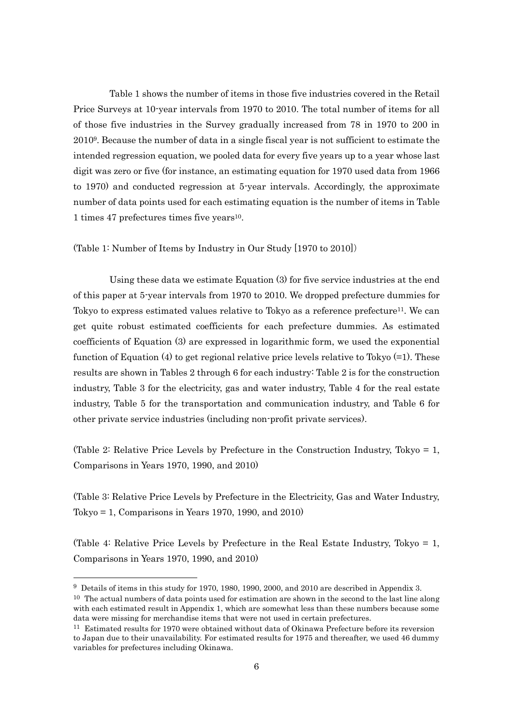Table 1 shows the number of items in those five industries covered in the Retail Price Surveys at 10-year intervals from 1970 to 2010. The total number of items for all of those five industries in the Survey gradually increased from 78 in 1970 to 200 in 20109. Because the number of data in a single fiscal year is not sufficient to estimate the intended regression equation, we pooled data for every five years up to a year whose last digit was zero or five (for instance, an estimating equation for 1970 used data from 1966 to 1970) and conducted regression at 5-year intervals. Accordingly, the approximate number of data points used for each estimating equation is the number of items in Table 1 times 47 prefectures times five years<sup>10</sup>.

(Table 1: Number of Items by Industry in Our Study [1970 to 2010])

Using these data we estimate Equation (3) for five service industries at the end of this paper at 5-year intervals from 1970 to 2010. We dropped prefecture dummies for Tokyo to express estimated values relative to Tokyo as a reference prefecture<sup>11</sup>. We can get quite robust estimated coefficients for each prefecture dummies. As estimated coefficients of Equation (3) are expressed in logarithmic form, we used the exponential function of Equation  $(4)$  to get regional relative price levels relative to Tokyo  $(=1)$ . These results are shown in Tables 2 through 6 for each industry: Table 2 is for the construction industry, Table 3 for the electricity, gas and water industry, Table 4 for the real estate industry, Table 5 for the transportation and communication industry, and Table 6 for other private service industries (including non-profit private services).

(Table 2: Relative Price Levels by Prefecture in the Construction Industry, Tokyo = 1, Comparisons in Years 1970, 1990, and 2010)

(Table 3: Relative Price Levels by Prefecture in the Electricity, Gas and Water Industry, Tokyo = 1, Comparisons in Years 1970, 1990, and 2010)

(Table 4: Relative Price Levels by Prefecture in the Real Estate Industry, Tokyo = 1, Comparisons in Years 1970, 1990, and 2010)

-

<sup>9</sup> Details of items in this study for 1970, 1980, 1990, 2000, and 2010 are described in Appendix 3.  $10$  The actual numbers of data points used for estimation are shown in the second to the last line along

with each estimated result in Appendix 1, which are somewhat less than these numbers because some data were missing for merchandise items that were not used in certain prefectures.

<sup>11</sup> Estimated results for 1970 were obtained without data of Okinawa Prefecture before its reversion to Japan due to their unavailability. For estimated results for 1975 and thereafter, we used 46 dummy variables for prefectures including Okinawa.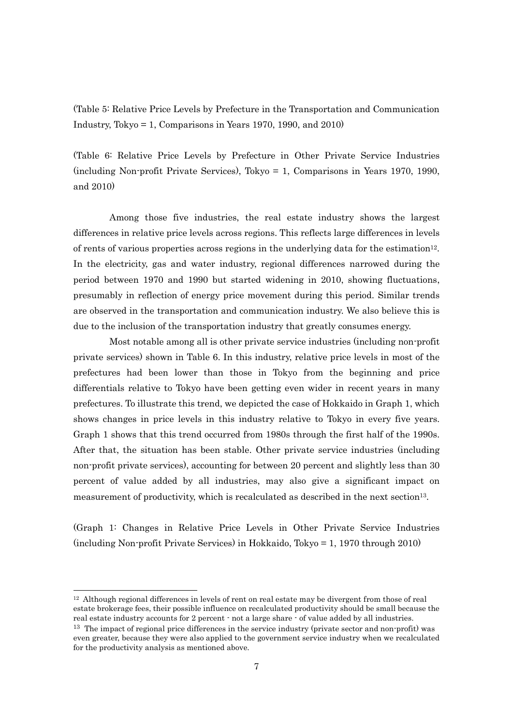(Table 5: Relative Price Levels by Prefecture in the Transportation and Communication Industry, Tokyo  $= 1$ , Comparisons in Years 1970, 1990, and 2010)

(Table 6: Relative Price Levels by Prefecture in Other Private Service Industries (including Non-profit Private Services), Tokyo = 1, Comparisons in Years 1970, 1990, and 2010)

Among those five industries, the real estate industry shows the largest differences in relative price levels across regions. This reflects large differences in levels of rents of various properties across regions in the underlying data for the estimation<sup>12</sup>. In the electricity, gas and water industry, regional differences narrowed during the period between 1970 and 1990 but started widening in 2010, showing fluctuations, presumably in reflection of energy price movement during this period. Similar trends are observed in the transportation and communication industry. We also believe this is due to the inclusion of the transportation industry that greatly consumes energy.

Most notable among all is other private service industries (including non-profit private services) shown in Table 6. In this industry, relative price levels in most of the prefectures had been lower than those in Tokyo from the beginning and price differentials relative to Tokyo have been getting even wider in recent years in many prefectures. To illustrate this trend, we depicted the case of Hokkaido in Graph 1, which shows changes in price levels in this industry relative to Tokyo in every five years. Graph 1 shows that this trend occurred from 1980s through the first half of the 1990s. After that, the situation has been stable. Other private service industries (including non-profit private services), accounting for between 20 percent and slightly less than 30 percent of value added by all industries, may also give a significant impact on measurement of productivity, which is recalculated as described in the next section<sup>13</sup>.

(Graph 1: Changes in Relative Price Levels in Other Private Service Industries (including Non-profit Private Services) in Hokkaido, Tokyo = 1, 1970 through 2010)

 $12$  Although regional differences in levels of rent on real estate may be divergent from those of real estate brokerage fees, their possible influence on recalculated productivity should be small because the real estate industry accounts for 2 percent - not a large share - of value added by all industries.

 $\overline{\phantom{a}}$ 

 $13$  The impact of regional price differences in the service industry (private sector and non-profit) was even greater, because they were also applied to the government service industry when we recalculated for the productivity analysis as mentioned above.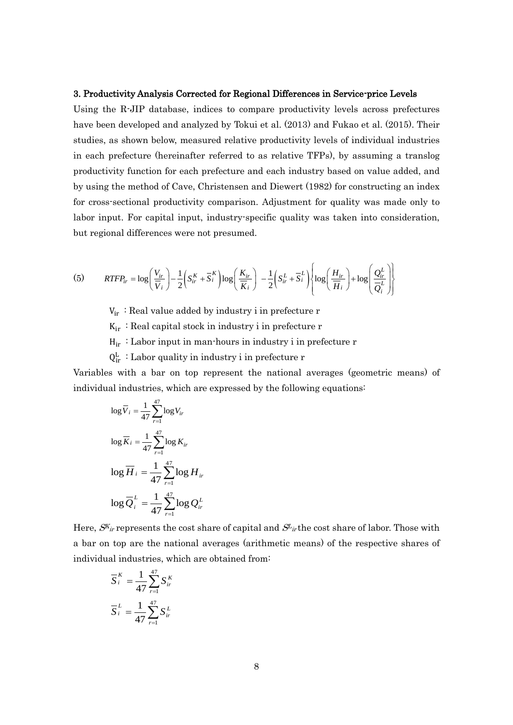#### 3. Productivity Analysis Corrected for Regional Differences in Service-price Levels

Using the R-JIP database, indices to compare productivity levels across prefectures have been developed and analyzed by Tokui et al. (2013) and Fukao et al. (2015). Their studies, as shown below, measured relative productivity levels of individual industries in each prefecture (hereinafter referred to as relative TFPs), by assuming a translog productivity function for each prefecture and each industry based on value added, and by using the method of Cave, Christensen and Diewert (1982) for constructing an index for cross-sectional productivity comparison. Adjustment for quality was made only to labor input. For capital input, industry-specific quality was taken into consideration, but regional differences were not presumed.

(5) 
$$
RTFP_{ir} = \log\left(\frac{V_{ir}}{\overline{V}_i}\right) - \frac{1}{2}\left(S_{ir}^K + \overline{S}_i^K\right)\log\left(\frac{K_{ir}}{\overline{K}_i}\right) - \frac{1}{2}\left(S_{ir}^L + \overline{S}_i^L\right)\left\{\log\left(\frac{H_{ir}}{\overline{H}_i}\right) + \log\left(\frac{Q_{ir}^L}{\overline{Q}_i^L}\right)\right\}
$$

 $V_{ir}$ : Real value added by industry i in prefecture r

 $K_{ir}$ : Real capital stock in industry i in prefecture r

 $H_{ir}$ : Labor input in man-hours in industry i in prefecture r

 $Q_{ir}^L$ : Labor quality in industry i in prefecture r

Variables with a bar on top represent the national averages (geometric means) of individual industries, which are expressed by the following equations:

$$
\log \overline{V}_i = \frac{1}{47} \sum_{r=1}^{47} \log V_{ir}
$$

$$
\log \overline{K}_i = \frac{1}{47} \sum_{r=1}^{47} \log K_{ir}
$$

$$
\log \overline{H}_i = \frac{1}{47} \sum_{r=1}^{47} \log H_{ir}
$$

$$
\log \overline{Q}_i^L = \frac{1}{47} \sum_{r=1}^{47} \log Q_{ir}^L
$$

Here,  $S^{K_{ir}}$  represents the cost share of capital and  $S_{ir}$  the cost share of labor. Those with a bar on top are the national averages (arithmetic means) of the respective shares of individual industries, which are obtained from:

$$
\overline{S}_{i}^{K} = \frac{1}{47} \sum_{r=1}^{47} S_{ir}^{K}
$$

$$
\overline{S}_{i}^{L} = \frac{1}{47} \sum_{r=1}^{47} S_{ir}^{L}
$$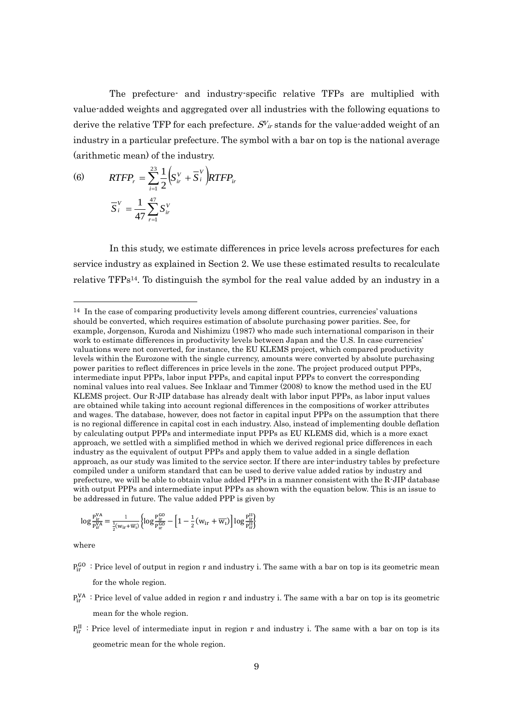The prefecture- and industry-specific relative TFPs are multiplied with value-added weights and aggregated over all industries with the following equations to derive the relative TFP for each prefecture.  $S_{ir}$  stands for the value-added weight of an industry in a particular prefecture. The symbol with a bar on top is the national average (arithmetic mean) of the industry.

(6) 
$$
RTFP_r = \sum_{i=1}^{23} \frac{1}{2} \left( S_{ir}^V + \overline{S}_i^V \right) RTFP_{ir}
$$

$$
\overline{S}_i^V = \frac{1}{47} \sum_{r=1}^{47} S_{ir}^V
$$

In this study, we estimate differences in price levels across prefectures for each service industry as explained in Section 2. We use these estimated results to recalculate relative TFPs14. To distinguish the symbol for the real value added by an industry in a

$$
log\frac{P_{ir}^{VA}}{P_{ir}^{VA}}\!=\!\frac{1}{\frac{1}{2}(w_{ir}\!+\!\overline{w_{l}})}\!\left\{ \!log\frac{P_{ir}^{GO}}{P_{ir}^{GO}}\!-\!\Big[1-\frac{1}{2}\big(w_{ir}+\overline{w_{l}}\big)\!\Big] \!log\frac{P_{ir}^{II}}{P_{ir}^{II}}\!\right\}
$$

where

-

- $P_{ir}^{GO}$ : Price level of output in region r and industry i. The same with a bar on top is its geometric mean for the whole region.
- $P_{ir}^{VA}$ : Price level of value added in region r and industry i. The same with a bar on top is its geometric mean for the whole region.
- $P_{ir}^{II}$ : Price level of intermediate input in region r and industry i. The same with a bar on top is its geometric mean for the whole region.

 $14$  In the case of comparing productivity levels among different countries, currencies' valuations should be converted, which requires estimation of absolute purchasing power parities. See, for example, Jorgenson, Kuroda and Nishimizu (1987) who made such international comparison in their work to estimate differences in productivity levels between Japan and the U.S. In case currencies' valuations were not converted, for instance, the EU KLEMS project, which compared productivity levels within the Eurozone with the single currency, amounts were converted by absolute purchasing power parities to reflect differences in price levels in the zone. The project produced output PPPs, intermediate input PPPs, labor input PPPs, and capital input PPPs to convert the corresponding nominal values into real values. See Inklaar and Timmer (2008) to know the method used in the EU KLEMS project. Our R-JIP database has already dealt with labor input PPPs, as labor input values are obtained while taking into account regional differences in the compositions of worker attributes and wages. The database, however, does not factor in capital input PPPs on the assumption that there is no regional difference in capital cost in each industry. Also, instead of implementing double deflation by calculating output PPPs and intermediate input PPPs as EU KLEMS did, which is a more exact approach, we settled with a simplified method in which we derived regional price differences in each industry as the equivalent of output PPPs and apply them to value added in a single deflation approach, as our study was limited to the service sector. If there are inter-industry tables by prefecture compiled under a uniform standard that can be used to derive value added ratios by industry and prefecture, we will be able to obtain value added PPPs in a manner consistent with the R-JIP database with output PPPs and intermediate input PPPs as shown with the equation below. This is an issue to be addressed in future. The value added PPP is given by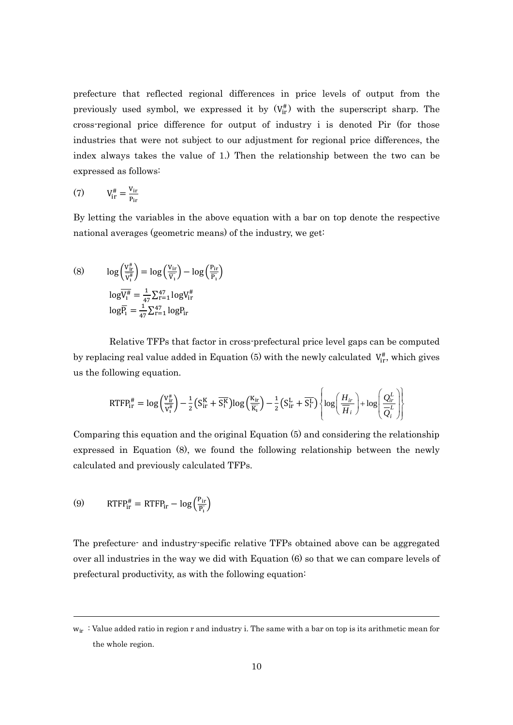prefecture that reflected regional differences in price levels of output from the previously used symbol, we expressed it by  $(V_{ir}^{\#})$  with the superscript sharp. The cross-regional price difference for output of industry i is denoted Pir (for those industries that were not subject to our adjustment for regional price differences, the index always takes the value of 1.) Then the relationship between the two can be expressed as follows:

$$
(7) \tV_{ir}^{\#} = \frac{V_{ir}}{P_{ir}}
$$

By letting the variables in the above equation with a bar on top denote the respective national averages (geometric means) of the industry, we get:

(8)  $\log \left( \frac{V_{ir}^{\#}}{V_{ir}^{\#}} \right)$  $\frac{V_{ir}^{\#}}{V_1^{\#}}$  =  $\log \left(\frac{V_{ir}}{\overline{V_1}}\right)$  $\frac{V_{\text{ir}}}{\overline{V_1}}$  – log  $\left(\frac{P_{\text{ir}}}{\overline{P_1}}\right)$  $\frac{\text{Tr}}{\overline{P_1}}$  $log\overline{V_1^{\#}} = \frac{1}{4}$  $\frac{1}{47}\sum_{r=1}^{47} \log V_{ir}^{\#}$  $log\overline{P}_1=\frac{1}{4}$  $\frac{1}{47}\sum_{r=1}^{47} log P_{ir}$ 

Relative TFPs that factor in cross-prefectural price level gaps can be computed by replacing real value added in Equation (5) with the newly calculated  $V_{ir}^{\#}$ , which gives us the following equation.

$$
\text{RTFP}_{\text{ir}}^{\#} = \log \left( \frac{V_{\text{ir}}^{\#}}{V_{\text{i}}^{\#}} \right) - \frac{1}{2} \left( S_{\text{ir}}^{\text{K}} + \overline{S_{\text{i}}^{\text{K}}} \right) \log \left( \frac{K_{\text{ir}}}{\overline{K_{1}}} \right) - \frac{1}{2} \left( S_{\text{ir}}^{\text{L}} + \overline{S_{\text{i}}^{\text{L}}} \right) \left\{ \log \left( \frac{H_{\text{ir}}}{\overline{H}_{i}} \right) + \log \left( \frac{Q_{\text{ir}}^{\text{L}}}{Q_{i}^{\text{L}}} \right) \right\}
$$

Comparing this equation and the original Equation (5) and considering the relationship expressed in Equation (8), we found the following relationship between the newly calculated and previously calculated TFPs.

(9) 
$$
RTFP_{ir}^{\#} = RTFP_{ir} - \log\left(\frac{P_{ir}}{P_i}\right)
$$

-

The prefecture- and industry-specific relative TFPs obtained above can be aggregated over all industries in the way we did with Equation (6) so that we can compare levels of prefectural productivity, as with the following equation:

 $w_{ir}$ : Value added ratio in region r and industry i. The same with a bar on top is its arithmetic mean for the whole region.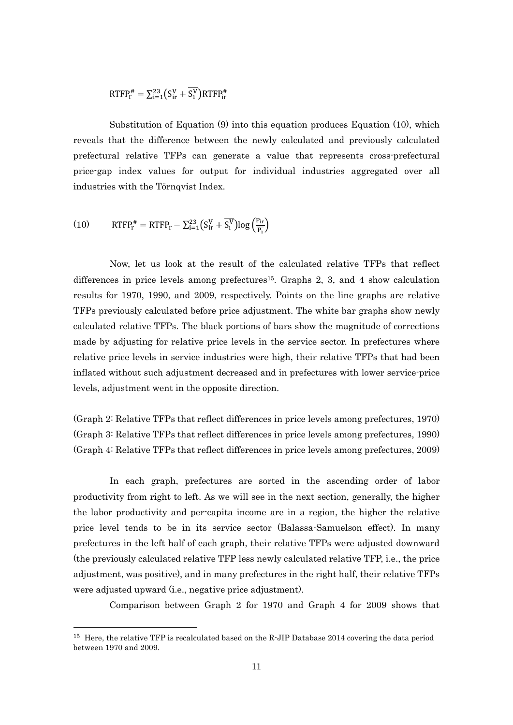$$
{\rm RTFP}_{{\rm r}}^{\#} = \Sigma_{\rm i=1}^{23} \left( \rm S_{\rm ir}^{\rm V} + \overline{S_{\rm i}^{\rm V}} \right) {\rm RTFP}_{\rm ir}^{\#}
$$

Substitution of Equation (9) into this equation produces Equation (10), which reveals that the difference between the newly calculated and previously calculated prefectural relative TFPs can generate a value that represents cross-prefectural price-gap index values for output for individual industries aggregated over all industries with the Törnqvist Index.

(10) 
$$
RTFP_r^{\#} = RTFP_r - \sum_{i=1}^{23} (S_{ir}^V + \overline{S_i^V}) \log \left( \frac{P_{ir}}{\overline{P_1}} \right)
$$

-

Now, let us look at the result of the calculated relative TFPs that reflect differences in price levels among prefectures15. Graphs 2, 3, and 4 show calculation results for 1970, 1990, and 2009, respectively. Points on the line graphs are relative TFPs previously calculated before price adjustment. The white bar graphs show newly calculated relative TFPs. The black portions of bars show the magnitude of corrections made by adjusting for relative price levels in the service sector. In prefectures where relative price levels in service industries were high, their relative TFPs that had been inflated without such adjustment decreased and in prefectures with lower service-price levels, adjustment went in the opposite direction.

(Graph 2: Relative TFPs that reflect differences in price levels among prefectures, 1970) (Graph 3: Relative TFPs that reflect differences in price levels among prefectures, 1990) (Graph 4: Relative TFPs that reflect differences in price levels among prefectures, 2009)

In each graph, prefectures are sorted in the ascending order of labor productivity from right to left. As we will see in the next section, generally, the higher the labor productivity and per-capita income are in a region, the higher the relative price level tends to be in its service sector (Balassa-Samuelson effect). In many prefectures in the left half of each graph, their relative TFPs were adjusted downward (the previously calculated relative TFP less newly calculated relative TFP, i.e., the price adjustment, was positive), and in many prefectures in the right half, their relative TFPs were adjusted upward (i.e., negative price adjustment).

Comparison between Graph 2 for 1970 and Graph 4 for 2009 shows that

<sup>15</sup> Here, the relative TFP is recalculated based on the R-JIP Database 2014 covering the data period between 1970 and 2009.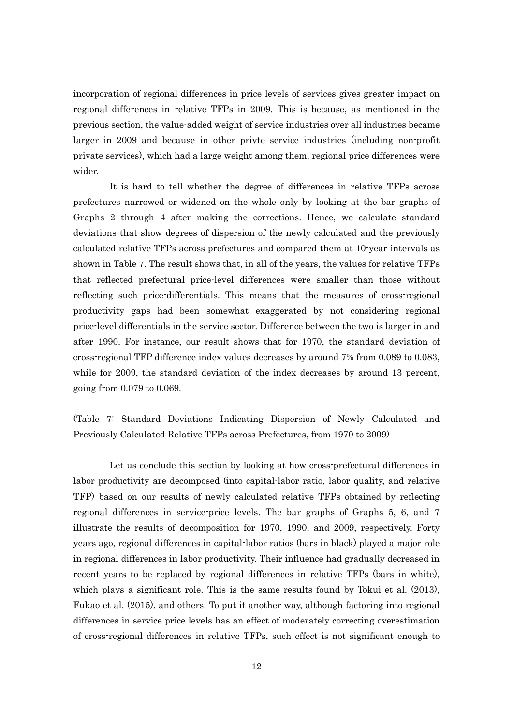incorporation of regional differences in price levels of services gives greater impact on regional differences in relative TFPs in 2009. This is because, as mentioned in the previous section, the value-added weight of service industries over all industries became larger in 2009 and because in other privte service industries (including non-profit private services), which had a large weight among them, regional price differences were wider.

It is hard to tell whether the degree of differences in relative TFPs across prefectures narrowed or widened on the whole only by looking at the bar graphs of Graphs 2 through 4 after making the corrections. Hence, we calculate standard deviations that show degrees of dispersion of the newly calculated and the previously calculated relative TFPs across prefectures and compared them at 10-year intervals as shown in Table 7. The result shows that, in all of the years, the values for relative TFPs that reflected prefectural price-level differences were smaller than those without reflecting such price-differentials. This means that the measures of cross-regional productivity gaps had been somewhat exaggerated by not considering regional price-level differentials in the service sector. Difference between the two is larger in and after 1990. For instance, our result shows that for 1970, the standard deviation of cross-regional TFP difference index values decreases by around 7% from 0.089 to 0.083, while for 2009, the standard deviation of the index decreases by around 13 percent, going from 0.079 to 0.069.

(Table 7: Standard Deviations Indicating Dispersion of Newly Calculated and Previously Calculated Relative TFPs across Prefectures, from 1970 to 2009)

Let us conclude this section by looking at how cross-prefectural differences in labor productivity are decomposed (into capital-labor ratio, labor quality, and relative TFP) based on our results of newly calculated relative TFPs obtained by reflecting regional differences in service-price levels. The bar graphs of Graphs 5, 6, and 7 illustrate the results of decomposition for 1970, 1990, and 2009, respectively. Forty years ago, regional differences in capital-labor ratios (bars in black) played a major role in regional differences in labor productivity. Their influence had gradually decreased in recent years to be replaced by regional differences in relative TFPs (bars in white), which plays a significant role. This is the same results found by Tokui et al. (2013), Fukao et al. (2015), and others. To put it another way, although factoring into regional differences in service price levels has an effect of moderately correcting overestimation of cross-regional differences in relative TFPs, such effect is not significant enough to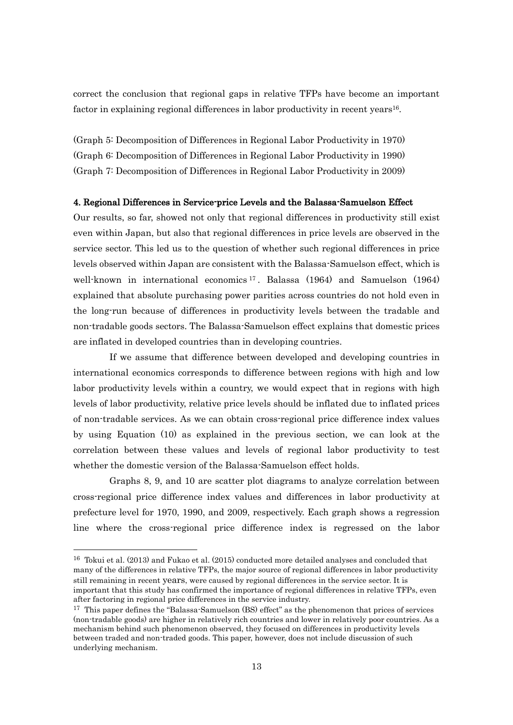correct the conclusion that regional gaps in relative TFPs have become an important factor in explaining regional differences in labor productivity in recent years16.

(Graph 5: Decomposition of Differences in Regional Labor Productivity in 1970) (Graph 6: Decomposition of Differences in Regional Labor Productivity in 1990) (Graph 7: Decomposition of Differences in Regional Labor Productivity in 2009)

# 4. Regional Differences in Service-price Levels and the Balassa-Samuelson Effect

Our results, so far, showed not only that regional differences in productivity still exist even within Japan, but also that regional differences in price levels are observed in the service sector. This led us to the question of whether such regional differences in price levels observed within Japan are consistent with the Balassa-Samuelson effect, which is well-known in international economics <sup>17</sup> . Balassa (1964) and Samuelson (1964) explained that absolute purchasing power parities across countries do not hold even in the long-run because of differences in productivity levels between the tradable and non-tradable goods sectors. The Balassa-Samuelson effect explains that domestic prices are inflated in developed countries than in developing countries.

If we assume that difference between developed and developing countries in international economics corresponds to difference between regions with high and low labor productivity levels within a country, we would expect that in regions with high levels of labor productivity, relative price levels should be inflated due to inflated prices of non-tradable services. As we can obtain cross-regional price difference index values by using Equation (10) as explained in the previous section, we can look at the correlation between these values and levels of regional labor productivity to test whether the domestic version of the Balassa-Samuelson effect holds.

Graphs 8, 9, and 10 are scatter plot diagrams to analyze correlation between cross-regional price difference index values and differences in labor productivity at prefecture level for 1970, 1990, and 2009, respectively. Each graph shows a regression line where the cross-regional price difference index is regressed on the labor

-

<sup>16</sup> Tokui et al. (2013) and Fukao et al. (2015) conducted more detailed analyses and concluded that many of the differences in relative TFPs, the major source of regional differences in labor productivity still remaining in recent years, were caused by regional differences in the service sector. It is important that this study has confirmed the importance of regional differences in relative TFPs, even after factoring in regional price differences in the service industry.

<sup>&</sup>lt;sup>17</sup> This paper defines the "Balassa-Samuelson (BS) effect" as the phenomenon that prices of services (non-tradable goods) are higher in relatively rich countries and lower in relatively poor countries. As a mechanism behind such phenomenon observed, they focused on differences in productivity levels between traded and non-traded goods. This paper, however, does not include discussion of such underlying mechanism.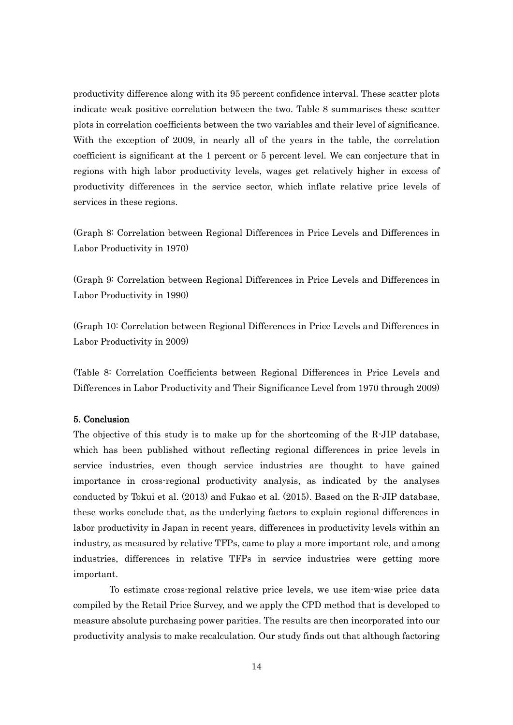productivity difference along with its 95 percent confidence interval. These scatter plots indicate weak positive correlation between the two. Table 8 summarises these scatter plots in correlation coefficients between the two variables and their level of significance. With the exception of 2009, in nearly all of the years in the table, the correlation coefficient is significant at the 1 percent or 5 percent level. We can conjecture that in regions with high labor productivity levels, wages get relatively higher in excess of productivity differences in the service sector, which inflate relative price levels of services in these regions.

(Graph 8: Correlation between Regional Differences in Price Levels and Differences in Labor Productivity in 1970)

(Graph 9: Correlation between Regional Differences in Price Levels and Differences in Labor Productivity in 1990)

(Graph 10: Correlation between Regional Differences in Price Levels and Differences in Labor Productivity in 2009)

(Table 8: Correlation Coefficients between Regional Differences in Price Levels and Differences in Labor Productivity and Their Significance Level from 1970 through 2009)

## 5. Conclusion

The objective of this study is to make up for the shortcoming of the R-JIP database, which has been published without reflecting regional differences in price levels in service industries, even though service industries are thought to have gained importance in cross-regional productivity analysis, as indicated by the analyses conducted by Tokui et al. (2013) and Fukao et al. (2015). Based on the R-JIP database, these works conclude that, as the underlying factors to explain regional differences in labor productivity in Japan in recent years, differences in productivity levels within an industry, as measured by relative TFPs, came to play a more important role, and among industries, differences in relative TFPs in service industries were getting more important.

To estimate cross-regional relative price levels, we use item-wise price data compiled by the Retail Price Survey, and we apply the CPD method that is developed to measure absolute purchasing power parities. The results are then incorporated into our productivity analysis to make recalculation. Our study finds out that although factoring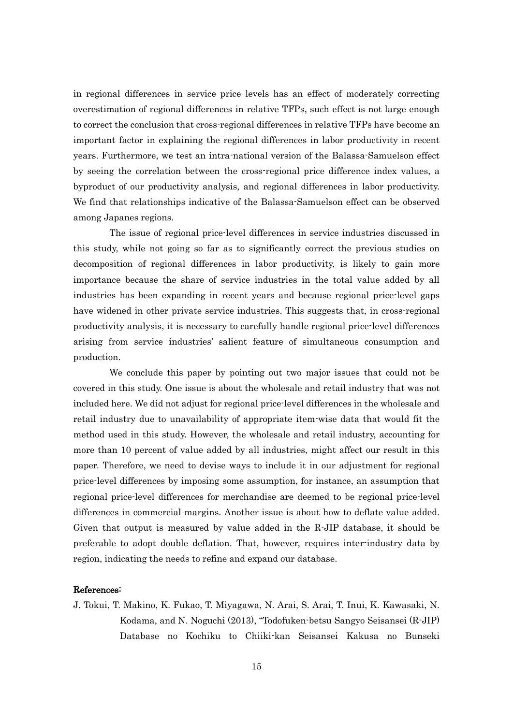in regional differences in service price levels has an effect of moderately correcting overestimation of regional differences in relative TFPs, such effect is not large enough to correct the conclusion that cross-regional differences in relative TFPs have become an important factor in explaining the regional differences in labor productivity in recent years. Furthermore, we test an intra-national version of the Balassa-Samuelson effect by seeing the correlation between the cross-regional price difference index values, a byproduct of our productivity analysis, and regional differences in labor productivity. We find that relationships indicative of the Balassa-Samuelson effect can be observed among Japanes regions.

The issue of regional price-level differences in service industries discussed in this study, while not going so far as to significantly correct the previous studies on decomposition of regional differences in labor productivity, is likely to gain more importance because the share of service industries in the total value added by all industries has been expanding in recent years and because regional price-level gaps have widened in other private service industries. This suggests that, in cross-regional productivity analysis, it is necessary to carefully handle regional price-level differences arising from service industries' salient feature of simultaneous consumption and production.

We conclude this paper by pointing out two major issues that could not be covered in this study. One issue is about the wholesale and retail industry that was not included here. We did not adjust for regional price-level differences in the wholesale and retail industry due to unavailability of appropriate item-wise data that would fit the method used in this study. However, the wholesale and retail industry, accounting for more than 10 percent of value added by all industries, might affect our result in this paper. Therefore, we need to devise ways to include it in our adjustment for regional price-level differences by imposing some assumption, for instance, an assumption that regional price-level differences for merchandise are deemed to be regional price-level differences in commercial margins. Another issue is about how to deflate value added. Given that output is measured by value added in the R-JIP database, it should be preferable to adopt double deflation. That, however, requires inter-industry data by region, indicating the needs to refine and expand our database.

### References:

J. Tokui, T. Makino, K. Fukao, T. Miyagawa, N. Arai, S. Arai, T. Inui, K. Kawasaki, N. Kodama, and N. Noguchi (2013), "Todofuken-betsu Sangyo Seisansei (R-JIP) Database no Kochiku to Chiiki-kan Seisansei Kakusa no Bunseki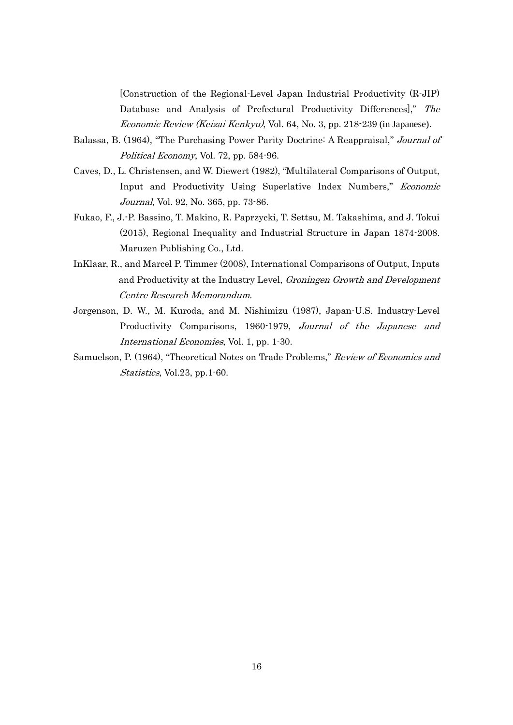[Construction of the Regional-Level Japan Industrial Productivity (R-JIP) Database and Analysis of Prefectural Productivity Differences]," The Economic Review (Keizai Kenkyu), Vol. 64, No. 3, pp. 218-239 (in Japanese).

- Balassa, B. (1964), "The Purchasing Power Parity Doctrine: A Reappraisal," Journal of Political Economy, Vol. 72, pp. 584-96.
- Caves, D., L. Christensen, and W. Diewert (1982), "Multilateral Comparisons of Output, Input and Productivity Using Superlative Index Numbers," Economic Journal, Vol. 92, No. 365, pp. 73-86.
- Fukao, F., J.-P. Bassino, T. Makino, R. Paprzycki, T. Settsu, M. Takashima, and J. Tokui (2015), Regional Inequality and Industrial Structure in Japan 1874-2008. Maruzen Publishing Co., Ltd.
- InKlaar, R., and Marcel P. Timmer (2008), International Comparisons of Output, Inputs and Productivity at the Industry Level, Groningen Growth and Development Centre Research Memorandum.
- Jorgenson, D. W., M. Kuroda, and M. Nishimizu (1987), Japan-U.S. Industry-Level Productivity Comparisons, 1960-1979, Journal of the Japanese and International Economies, Vol. 1, pp. 1-30.
- Samuelson, P. (1964), "Theoretical Notes on Trade Problems," Review of Economics and Statistics, Vol.23, pp.1-60.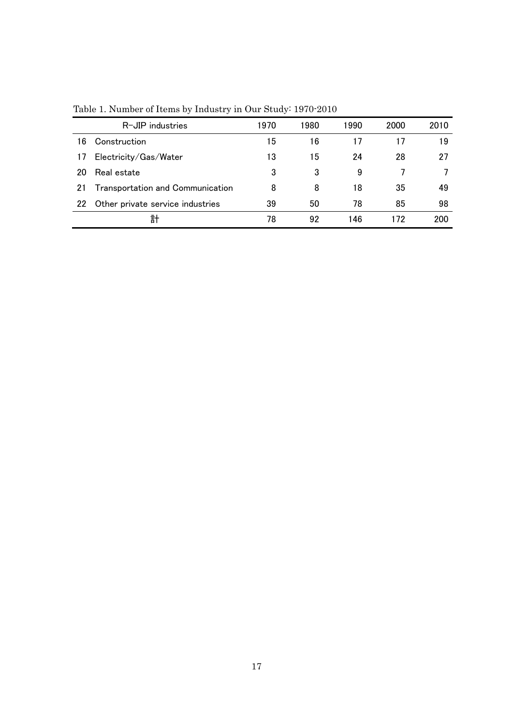|    | R-JIP industries                        | 1970 | 1980 | 1990 | 2000 | 2010 |
|----|-----------------------------------------|------|------|------|------|------|
| 16 | Construction                            | 15   | 16   |      | 17   | 19   |
| 17 | Electricity/Gas/Water                   | 13   | 15   | 24   | 28   | 27   |
| 20 | Real estate                             | 3    | 3    | 9    |      |      |
| 21 | <b>Transportation and Communication</b> | 8    | 8    | 18   | 35   | 49   |
| 22 | Other private service industries        | 39   | 50   | 78   | 85   | 98   |
|    | 計                                       | 78   | 92   | 146  | 172  | 200  |

Table 1. Number of Items by Industry in Our Study: 1970-2010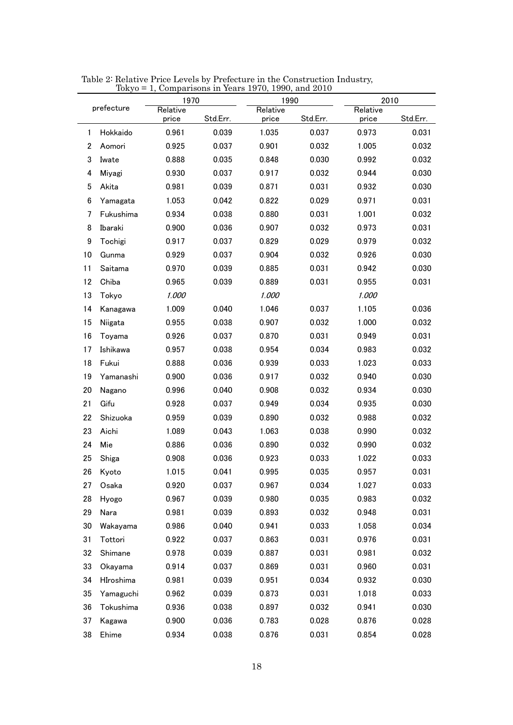|                  | токуо      | 1970     | $1,$ Comparisons in Tears $1970, 1990,$ and $2010$ | 1990     |          | 2010     |          |
|------------------|------------|----------|----------------------------------------------------|----------|----------|----------|----------|
|                  | prefecture | Relative |                                                    | Relative |          | Relative |          |
|                  |            | price    | Std.Err.                                           | price    | Std.Err. | price    | Std.Err. |
| 1                | Hokkaido   | 0.961    | 0.039                                              | 1.035    | 0.037    | 0.973    | 0.031    |
| $\boldsymbol{2}$ | Aomori     | 0.925    | 0.037                                              | 0.901    | 0.032    | 1.005    | 0.032    |
| 3                | Iwate      | 0.888    | 0.035                                              | 0.848    | 0.030    | 0.992    | 0.032    |
| 4                | Miyagi     | 0.930    | 0.037                                              | 0.917    | 0.032    | 0.944    | 0.030    |
| 5                | Akita      | 0.981    | 0.039                                              | 0.871    | 0.031    | 0.932    | 0.030    |
| 6                | Yamagata   | 1.053    | 0.042                                              | 0.822    | 0.029    | 0.971    | 0.031    |
| 7                | Fukushima  | 0.934    | 0.038                                              | 0.880    | 0.031    | 1.001    | 0.032    |
| 8                | Ibaraki    | 0.900    | 0.036                                              | 0.907    | 0.032    | 0.973    | 0.031    |
| 9                | Tochigi    | 0.917    | 0.037                                              | 0.829    | 0.029    | 0.979    | 0.032    |
| 10               | Gunma      | 0.929    | 0.037                                              | 0.904    | 0.032    | 0.926    | 0.030    |
| 11               | Saitama    | 0.970    | 0.039                                              | 0.885    | 0.031    | 0.942    | 0.030    |
| 12               | Chiba      | 0.965    | 0.039                                              | 0.889    | 0.031    | 0.955    | 0.031    |
| 13               | Tokyo      | 1.000    |                                                    | 1.000    |          | 1.000    |          |
| 14               | Kanagawa   | 1.009    | 0.040                                              | 1.046    | 0.037    | 1.105    | 0.036    |
| 15               | Niigata    | 0.955    | 0.038                                              | 0.907    | 0.032    | 1.000    | 0.032    |
| 16               | Toyama     | 0.926    | 0.037                                              | 0.870    | 0.031    | 0.949    | 0.031    |
| 17               | Ishikawa   | 0.957    | 0.038                                              | 0.954    | 0.034    | 0.983    | 0.032    |
| 18               | Fukui      | 0.888    | 0.036                                              | 0.939    | 0.033    | 1.023    | 0.033    |
| 19               | Yamanashi  | 0.900    | 0.036                                              | 0.917    | 0.032    | 0.940    | 0.030    |
| 20               | Nagano     | 0.996    | 0.040                                              | 0.908    | 0.032    | 0.934    | 0.030    |
| 21               | Gifu       | 0.928    | 0.037                                              | 0.949    | 0.034    | 0.935    | 0.030    |
| 22               | Shizuoka   | 0.959    | 0.039                                              | 0.890    | 0.032    | 0.988    | 0.032    |
| 23               | Aichi      | 1.089    | 0.043                                              | 1.063    | 0.038    | 0.990    | 0.032    |
| 24               | Mie        | 0.886    | 0.036                                              | 0.890    | 0.032    | 0.990    | 0.032    |
| 25               | Shiga      | 0.908    | 0.036                                              | 0.923    | 0.033    | 1.022    | 0.033    |
| 26               | Kyoto      | 1.015    | 0.041                                              | 0.995    | 0.035    | 0.957    | 0.031    |
| 27               | Osaka      | 0.920    | 0.037                                              | 0.967    | 0.034    | 1.027    | 0.033    |
| 28               | Hyogo      | 0.967    | 0.039                                              | 0.980    | 0.035    | 0.983    | 0.032    |
| 29               | Nara       | 0.981    | 0.039                                              | 0.893    | 0.032    | 0.948    | 0.031    |
| 30               | Wakayama   | 0.986    | 0.040                                              | 0.941    | 0.033    | 1.058    | 0.034    |
| 31               | Tottori    | 0.922    | 0.037                                              | 0.863    | 0.031    | 0.976    | 0.031    |
| 32               | Shimane    | 0.978    | 0.039                                              | 0.887    | 0.031    | 0.981    | 0.032    |
| 33               | Okayama    | 0.914    | 0.037                                              | 0.869    | 0.031    | 0.960    | 0.031    |
| 34               | HIroshima  | 0.981    | 0.039                                              | 0.951    | 0.034    | 0.932    | 0.030    |
| 35               | Yamaguchi  | 0.962    | 0.039                                              | 0.873    | 0.031    | 1.018    | 0.033    |
| 36               | Tokushima  | 0.936    | 0.038                                              | 0.897    | 0.032    | 0.941    | 0.030    |
| 37               | Kagawa     | 0.900    | 0.036                                              | 0.783    | 0.028    | 0.876    | 0.028    |
| 38               | Ehime      | 0.934    | 0.038                                              | 0.876    | 0.031    | 0.854    | 0.028    |

Table 2: Relative Price Levels by Prefecture in the Construction Industry, Tokyo = 1, Comparisons in Years 1970, 1990, and 2010  $\overline{a}$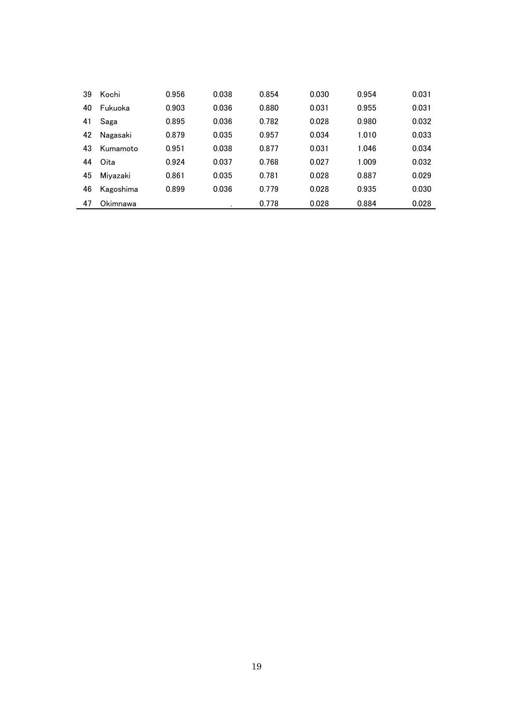| 39 | Kochi          | 0.956 | 0.038 | 0.854 | 0.030 | 0.954 | 0.031 |
|----|----------------|-------|-------|-------|-------|-------|-------|
| 40 | <b>Fukuoka</b> | 0.903 | 0.036 | 0.880 | 0.031 | 0.955 | 0.031 |
| 41 | Saga           | 0.895 | 0.036 | 0.782 | 0.028 | 0.980 | 0.032 |
| 42 | Nagasaki       | 0.879 | 0.035 | 0.957 | 0.034 | 1.010 | 0.033 |
| 43 | Kumamoto       | 0.951 | 0.038 | 0.877 | 0.031 | 1.046 | 0.034 |
| 44 | Oita           | 0.924 | 0.037 | 0.768 | 0.027 | 1.009 | 0.032 |
| 45 | Mivazaki       | 0.861 | 0.035 | 0.781 | 0.028 | 0.887 | 0.029 |
| 46 | Kagoshima      | 0.899 | 0.036 | 0.779 | 0.028 | 0.935 | 0.030 |
| 47 | Okimnawa       |       |       | 0.778 | 0.028 | 0.884 | 0.028 |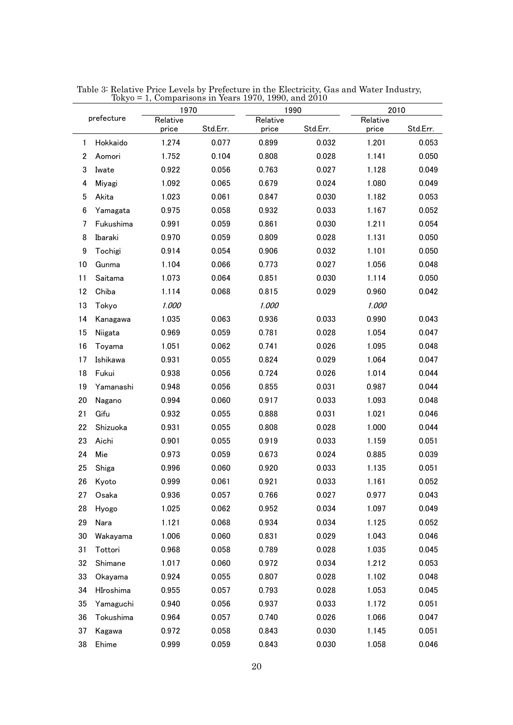|                 | prefecture | 1970              |          |                   | 1990     | 2010              |          |
|-----------------|------------|-------------------|----------|-------------------|----------|-------------------|----------|
|                 |            | Relative<br>price | Std.Err. | Relative<br>price | Std.Err. | Relative<br>price | Std.Err. |
| 1               | Hokkaido   | 1.274             | 0.077    | 0.899             | 0.032    | 1.201             | 0.053    |
| 2               | Aomori     | 1.752             | 0.104    | 0.808             | 0.028    | 1.141             | 0.050    |
| 3               | Iwate      | 0.922             | 0.056    | 0.763             | 0.027    | 1.128             | 0.049    |
| 4               | Miyagi     | 1.092             | 0.065    | 0.679             | 0.024    | 1.080             | 0.049    |
| 5               | Akita      | 1.023             | 0.061    | 0.847             | 0.030    | 1.182             | 0.053    |
| $6\phantom{1}6$ | Yamagata   | 0.975             | 0.058    | 0.932             | 0.033    | 1.167             | 0.052    |
| 7               | Fukushima  | 0.991             | 0.059    | 0.861             | 0.030    | 1.211             | 0.054    |
| 8               | Ibaraki    | 0.970             | 0.059    | 0.809             | 0.028    | 1.131             | 0.050    |
| 9               | Tochigi    | 0.914             | 0.054    | 0.906             | 0.032    | 1.101             | 0.050    |
| 10              | Gunma      | 1.104             | 0.066    | 0.773             | 0.027    | 1.056             | 0.048    |
| 11              | Saitama    | 1.073             | 0.064    | 0.851             | 0.030    | 1.114             | 0.050    |
| 12              | Chiba      | 1.114             | 0.068    | 0.815             | 0.029    | 0.960             | 0.042    |
| 13              | Tokyo      | 1.000             |          | 1.000             |          | 1.000             |          |
| 14              | Kanagawa   | 1.035             | 0.063    | 0.936             | 0.033    | 0.990             | 0.043    |
| 15              | Niigata    | 0.969             | 0.059    | 0.781             | 0.028    | 1.054             | 0.047    |
| 16              | Toyama     | 1.051             | 0.062    | 0.741             | 0.026    | 1.095             | 0.048    |
| 17              | Ishikawa   | 0.931             | 0.055    | 0.824             | 0.029    | 1.064             | 0.047    |
| 18              | Fukui      | 0.938             | 0.056    | 0.724             | 0.026    | 1.014             | 0.044    |
| 19              | Yamanashi  | 0.948             | 0.056    | 0.855             | 0.031    | 0.987             | 0.044    |
| 20              | Nagano     | 0.994             | 0.060    | 0.917             | 0.033    | 1.093             | 0.048    |
| 21              | Gifu       | 0.932             | 0.055    | 0.888             | 0.031    | 1.021             | 0.046    |
| 22              | Shizuoka   | 0.931             | 0.055    | 0.808             | 0.028    | 1.000             | 0.044    |
| 23              | Aichi      | 0.901             | 0.055    | 0.919             | 0.033    | 1.159             | 0.051    |
| 24              | Mie        | 0.973             | 0.059    | 0.673             | 0.024    | 0.885             | 0.039    |
| 25              | Shiga      | 0.996             | 0.060    | 0.920             | 0.033    | 1.135             | 0.051    |
| 26              | Kyoto      | 0.999             | 0.061    | 0.921             | 0.033    | 1.161             | 0.052    |
| 27              | Osaka      | 0.936             | 0.057    | 0.766             | 0.027    | 0.977             | 0.043    |
| 28              | Hyogo      | 1.025             | 0.062    | 0.952             | 0.034    | 1.097             | 0.049    |
| 29              | Nara       | 1.121             | 0.068    | 0.934             | 0.034    | 1.125             | 0.052    |
| 30              | Wakayama   | 1.006             | 0.060    | 0.831             | 0.029    | 1.043             | 0.046    |
| 31              | Tottori    | 0.968             | 0.058    | 0.789             | 0.028    | 1.035             | 0.045    |
| 32              | Shimane    | 1.017             | 0.060    | 0.972             | 0.034    | 1.212             | 0.053    |
| 33              | Okayama    | 0.924             | 0.055    | 0.807             | 0.028    | 1.102             | 0.048    |
| 34              | HIroshima  | 0.955             | 0.057    | 0.793             | 0.028    | 1.053             | 0.045    |
| 35              | Yamaguchi  | 0.940             | 0.056    | 0.937             | 0.033    | 1.172             | 0.051    |
| 36              | Tokushima  | 0.964             | 0.057    | 0.740             | 0.026    | 1.066             | 0.047    |
| 37              | Kagawa     | 0.972             | 0.058    | 0.843             | 0.030    | 1.145             | 0.051    |
| 38              | Ehime      | 0.999             | 0.059    | 0.843             | 0.030    | 1.058             | 0.046    |

Table 3: Relative Price Levels by Prefecture in the Electricity, Gas and Water Industry, Tokyo = 1, Comparisons in Years 1970, 1990, and 2010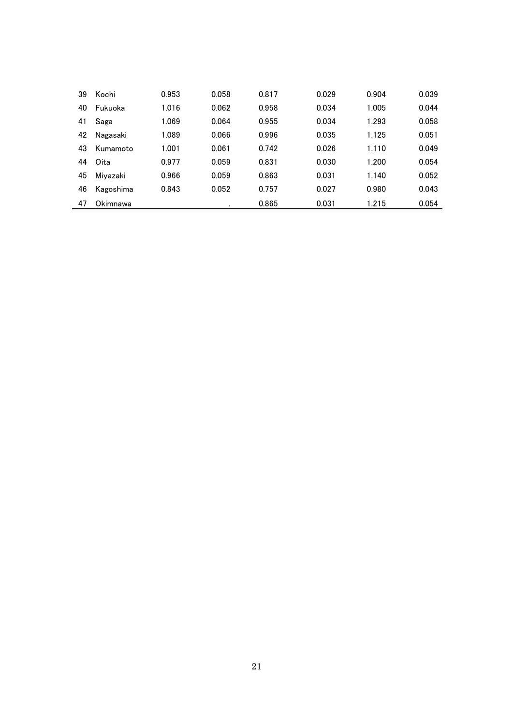| 39 | Kochi          | 0.953 | 0.058 | 0.817 | 0.029 | 0.904 | 0.039 |
|----|----------------|-------|-------|-------|-------|-------|-------|
| 40 | <b>Fukuoka</b> | 1.016 | 0.062 | 0.958 | 0.034 | 1.005 | 0.044 |
| 41 | Saga           | 1.069 | 0.064 | 0.955 | 0.034 | 1.293 | 0.058 |
| 42 | Nagasaki       | 1.089 | 0.066 | 0.996 | 0.035 | 1.125 | 0.051 |
| 43 | Kumamoto       | 1.001 | 0.061 | 0.742 | 0.026 | 1.110 | 0.049 |
| 44 | Oita           | 0.977 | 0.059 | 0.831 | 0.030 | 1.200 | 0.054 |
| 45 | Miyazaki       | 0.966 | 0.059 | 0.863 | 0.031 | 1.140 | 0.052 |
| 46 | Kagoshima      | 0.843 | 0.052 | 0.757 | 0.027 | 0.980 | 0.043 |
| 47 | Okimnawa       |       |       | 0.865 | 0.031 | 1.215 | 0.054 |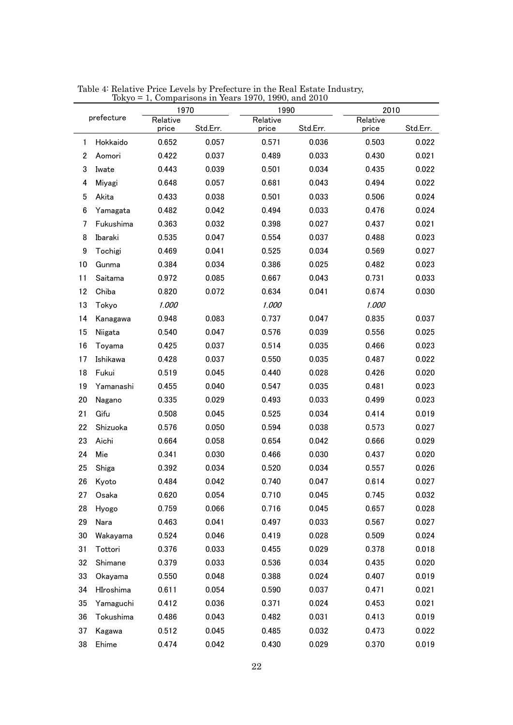|                  |            | 1970     |          | Tokyo = 1, Comparisons in Years 1970, 1990, and 2010<br>1990 |          | 2010     |          |
|------------------|------------|----------|----------|--------------------------------------------------------------|----------|----------|----------|
|                  | prefecture | Relative |          | Relative                                                     |          | Relative |          |
|                  |            | price    | Std.Err. | price                                                        | Std.Err. | price    | Std.Err. |
| 1                | Hokkaido   | 0.652    | 0.057    | 0.571                                                        | 0.036    | 0.503    | 0.022    |
| $\boldsymbol{2}$ | Aomori     | 0.422    | 0.037    | 0.489                                                        | 0.033    | 0.430    | 0.021    |
| 3                | Iwate      | 0.443    | 0.039    | 0.501                                                        | 0.034    | 0.435    | 0.022    |
| 4                | Miyagi     | 0.648    | 0.057    | 0.681                                                        | 0.043    | 0.494    | 0.022    |
| 5                | Akita      | 0.433    | 0.038    | 0.501                                                        | 0.033    | 0.506    | 0.024    |
| 6                | Yamagata   | 0.482    | 0.042    | 0.494                                                        | 0.033    | 0.476    | 0.024    |
| 7                | Fukushima  | 0.363    | 0.032    | 0.398                                                        | 0.027    | 0.437    | 0.021    |
| 8                | Ibaraki    | 0.535    | 0.047    | 0.554                                                        | 0.037    | 0.488    | 0.023    |
| 9                | Tochigi    | 0.469    | 0.041    | 0.525                                                        | 0.034    | 0.569    | 0.027    |
| 10               | Gunma      | 0.384    | 0.034    | 0.386                                                        | 0.025    | 0.482    | 0.023    |
| 11               | Saitama    | 0.972    | 0.085    | 0.667                                                        | 0.043    | 0.731    | 0.033    |
| 12               | Chiba      | 0.820    | 0.072    | 0.634                                                        | 0.041    | 0.674    | 0.030    |
| 13               | Tokyo      | 1.000    |          | 1.000                                                        |          | 1.000    |          |
| 14               | Kanagawa   | 0.948    | 0.083    | 0.737                                                        | 0.047    | 0.835    | 0.037    |
| 15               | Niigata    | 0.540    | 0.047    | 0.576                                                        | 0.039    | 0.556    | 0.025    |
| 16               | Toyama     | 0.425    | 0.037    | 0.514                                                        | 0.035    | 0.466    | 0.023    |
| 17               | Ishikawa   | 0.428    | 0.037    | 0.550                                                        | 0.035    | 0.487    | 0.022    |
| 18               | Fukui      | 0.519    | 0.045    | 0.440                                                        | 0.028    | 0.426    | 0.020    |
| 19               | Yamanashi  | 0.455    | 0.040    | 0.547                                                        | 0.035    | 0.481    | 0.023    |
| 20               | Nagano     | 0.335    | 0.029    | 0.493                                                        | 0.033    | 0.499    | 0.023    |
| 21               | Gifu       | 0.508    | 0.045    | 0.525                                                        | 0.034    | 0.414    | 0.019    |
| 22               | Shizuoka   | 0.576    | 0.050    | 0.594                                                        | 0.038    | 0.573    | 0.027    |
| 23               | Aichi      | 0.664    | 0.058    | 0.654                                                        | 0.042    | 0.666    | 0.029    |
| 24               | Mie        | 0.341    | 0.030    | 0.466                                                        | 0.030    | 0.437    | 0.020    |
| 25               | Shiga      | 0.392    | 0.034    | 0.520                                                        | 0.034    | 0.557    | 0.026    |
| 26               | Kyoto      | 0.484    | 0.042    | 0.740                                                        | 0.047    | 0.614    | 0.027    |
| 27               | Osaka      | 0.620    | 0.054    | 0.710                                                        | 0.045    | 0.745    | 0.032    |
| 28               | Hyogo      | 0.759    | 0.066    | 0.716                                                        | 0.045    | 0.657    | 0.028    |
| 29               | Nara       | 0.463    | 0.041    | 0.497                                                        | 0.033    | 0.567    | 0.027    |
| 30               | Wakayama   | 0.524    | 0.046    | 0.419                                                        | 0.028    | 0.509    | 0.024    |
| 31               | Tottori    | 0.376    | 0.033    | 0.455                                                        | 0.029    | 0.378    | 0.018    |
| 32               | Shimane    | 0.379    | 0.033    | 0.536                                                        | 0.034    | 0.435    | 0.020    |
| 33               | Okayama    | 0.550    | 0.048    | 0.388                                                        | 0.024    | 0.407    | 0.019    |
| 34               | HIroshima  | 0.611    | 0.054    | 0.590                                                        | 0.037    | 0.471    | 0.021    |
| 35               | Yamaguchi  | 0.412    | 0.036    | 0.371                                                        | 0.024    | 0.453    | 0.021    |
| 36               | Tokushima  | 0.486    | 0.043    | 0.482                                                        | 0.031    | 0.413    | 0.019    |
| 37               | Kagawa     | 0.512    | 0.045    | 0.485                                                        | 0.032    | 0.473    | 0.022    |
| 38               | Ehime      | 0.474    | 0.042    | 0.430                                                        | 0.029    | 0.370    | 0.019    |

Table 4: Relative Price Levels by Prefecture in the Real Estate Industry, Tokyo = 1, Comparisons in Years 1970, 1990, and 2010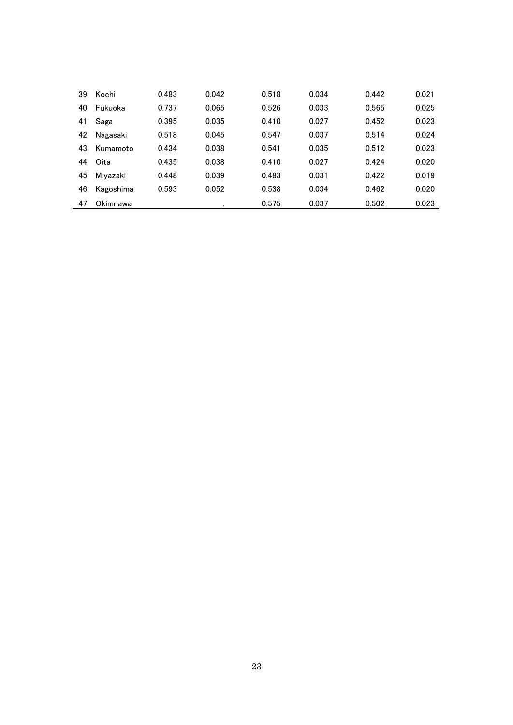| 39 | Kochi     | 0.483 | 0.042 | 0.518 | 0.034 | 0.442 | 0.021 |
|----|-----------|-------|-------|-------|-------|-------|-------|
| 40 | Fukuoka   | 0.737 | 0.065 | 0.526 | 0.033 | 0.565 | 0.025 |
| 41 | Saga      | 0.395 | 0.035 | 0.410 | 0.027 | 0.452 | 0.023 |
| 42 | Nagasaki  | 0.518 | 0.045 | 0.547 | 0.037 | 0.514 | 0.024 |
| 43 | Kumamoto  | 0.434 | 0.038 | 0.541 | 0.035 | 0.512 | 0.023 |
| 44 | Oita      | 0.435 | 0.038 | 0.410 | 0.027 | 0.424 | 0.020 |
| 45 | Mivazaki  | 0.448 | 0.039 | 0.483 | 0.031 | 0.422 | 0.019 |
| 46 | Kagoshima | 0.593 | 0.052 | 0.538 | 0.034 | 0.462 | 0.020 |
| 47 | Okimnawa  |       |       | 0.575 | 0.037 | 0.502 | 0.023 |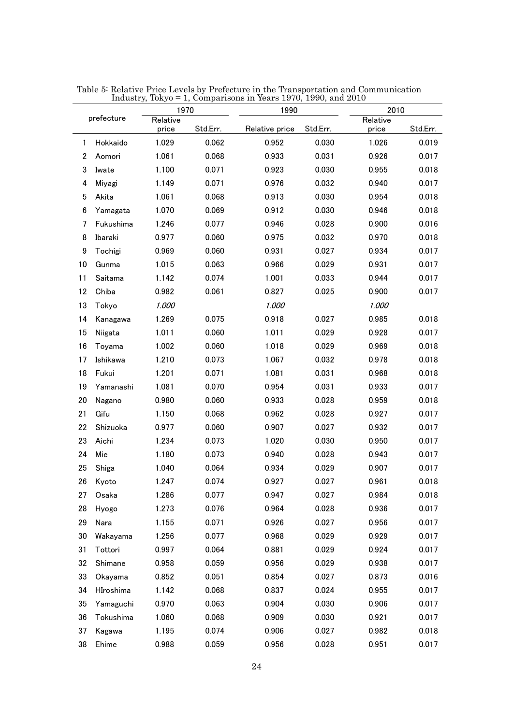| 1970<br>1990    |            | 2010              |          |                |          |                   |          |
|-----------------|------------|-------------------|----------|----------------|----------|-------------------|----------|
|                 | prefecture | Relative<br>price | Std.Err. | Relative price | Std.Err. | Relative<br>price | Std.Err. |
| $\mathbf{1}$    | Hokkaido   | 1.029             | 0.062    | 0.952          | 0.030    | 1.026             | 0.019    |
| $\overline{2}$  | Aomori     | 1.061             | 0.068    | 0.933          | 0.031    | 0.926             | 0.017    |
| 3               | Iwate      | 1.100             | 0.071    | 0.923          | 0.030    | 0.955             | 0.018    |
| 4               | Miyagi     | 1.149             | 0.071    | 0.976          | 0.032    | 0.940             | 0.017    |
| 5               | Akita      | 1.061             | 0.068    | 0.913          | 0.030    | 0.954             | 0.018    |
| $6\phantom{1}6$ | Yamagata   | 1.070             | 0.069    | 0.912          | 0.030    | 0.946             | 0.018    |
| 7               | Fukushima  | 1.246             | 0.077    | 0.946          | 0.028    | 0.900             | 0.016    |
| 8               | Ibaraki    | 0.977             | 0.060    | 0.975          | 0.032    | 0.970             | 0.018    |
| 9               | Tochigi    | 0.969             | 0.060    | 0.931          | 0.027    | 0.934             | 0.017    |
| 10              | Gunma      | 1.015             | 0.063    | 0.966          | 0.029    | 0.931             | 0.017    |
| 11              | Saitama    | 1.142             | 0.074    | 1.001          | 0.033    | 0.944             | 0.017    |
| 12              | Chiba      | 0.982             | 0.061    | 0.827          | 0.025    | 0.900             | 0.017    |
| 13              | Tokyo      | 1.000             |          | 1.000          |          | 1.000             |          |
| 14              | Kanagawa   | 1.269             | 0.075    | 0.918          | 0.027    | 0.985             | 0.018    |
| 15              | Niigata    | 1.011             | 0.060    | 1.011          | 0.029    | 0.928             | 0.017    |
| 16              | Toyama     | 1.002             | 0.060    | 1.018          | 0.029    | 0.969             | 0.018    |
| 17              | Ishikawa   | 1.210             | 0.073    | 1.067          | 0.032    | 0.978             | 0.018    |
| 18              | Fukui      | 1.201             | 0.071    | 1.081          | 0.031    | 0.968             | 0.018    |
| 19              | Yamanashi  | 1.081             | 0.070    | 0.954          | 0.031    | 0.933             | 0.017    |
| 20              | Nagano     | 0.980             | 0.060    | 0.933          | 0.028    | 0.959             | 0.018    |
| 21              | Gifu       | 1.150             | 0.068    | 0.962          | 0.028    | 0.927             | 0.017    |
| 22              | Shizuoka   | 0.977             | 0.060    | 0.907          | 0.027    | 0.932             | 0.017    |
| 23              | Aichi      | 1.234             | 0.073    | 1.020          | 0.030    | 0.950             | 0.017    |
| 24              | Mie        | 1.180             | 0.073    | 0.940          | 0.028    | 0.943             | 0.017    |
| 25              | Shiga      | 1.040             | 0.064    | 0.934          | 0.029    | 0.907             | 0.017    |
| 26              | Kyoto      | 1.247             | 0.074    | 0.927          | 0.027    | 0.961             | 0.018    |
| 27              | Osaka      | 1.286             | 0.077    | 0.947          | 0.027    | 0.984             | 0.018    |
| 28              | Hyogo      | 1.273             | 0.076    | 0.964          | 0.028    | 0.936             | 0.017    |
| 29              | Nara       | 1.155             | 0.071    | 0.926          | 0.027    | 0.956             | 0.017    |
| 30              | Wakayama   | 1.256             | 0.077    | 0.968          | 0.029    | 0.929             | 0.017    |
| 31              | Tottori    | 0.997             | 0.064    | 0.881          | 0.029    | 0.924             | 0.017    |
| 32              | Shimane    | 0.958             | 0.059    | 0.956          | 0.029    | 0.938             | 0.017    |
| 33              | Okayama    | 0.852             | 0.051    | 0.854          | 0.027    | 0.873             | 0.016    |
| 34              | HIroshima  | 1.142             | 0.068    | 0.837          | 0.024    | 0.955             | 0.017    |
| 35              | Yamaguchi  | 0.970             | 0.063    | 0.904          | 0.030    | 0.906             | 0.017    |
| 36              | Tokushima  | 1.060             | 0.068    | 0.909          | 0.030    | 0.921             | 0.017    |
| 37              | Kagawa     | 1.195             | 0.074    | 0.906          | 0.027    | 0.982             | 0.018    |
| 38              | Ehime      | 0.988             | 0.059    | 0.956          | 0.028    | 0.951             | 0.017    |

Table 5: Relative Price Levels by Prefecture in the Transportation and Communication Industry, Tokyo = 1, Comparisons in Years 1970, 1990, and 2010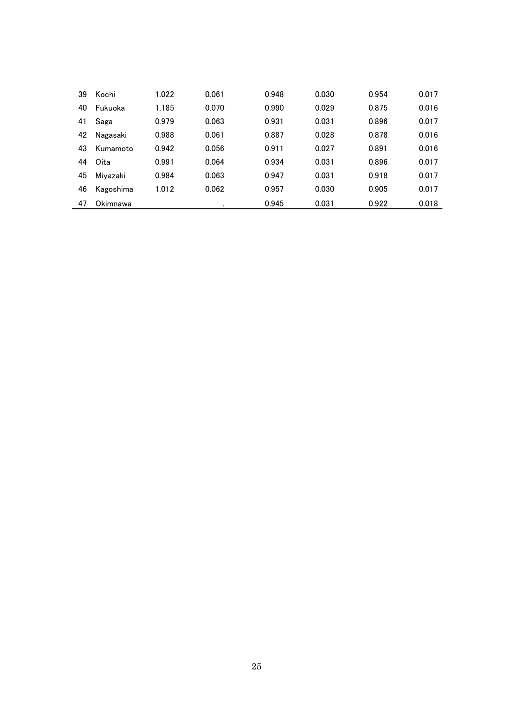| 39 | Kochi     | 1.022 | 0.061 | 0.948 | 0.030 | 0.954 | 0.017 |
|----|-----------|-------|-------|-------|-------|-------|-------|
| 40 | Fukuoka   | 1.185 | 0.070 | 0.990 | 0.029 | 0.875 | 0.016 |
| 41 | Saga      | 0.979 | 0.063 | 0.931 | 0.031 | 0.896 | 0.017 |
| 42 | Nagasaki  | 0.988 | 0.061 | 0.887 | 0.028 | 0.878 | 0.016 |
| 43 | Kumamoto  | 0.942 | 0.056 | 0.911 | 0.027 | 0.891 | 0.016 |
| 44 | Oita      | 0.991 | 0.064 | 0.934 | 0.031 | 0.896 | 0.017 |
| 45 | Miyazaki  | 0.984 | 0.063 | 0.947 | 0.031 | 0.918 | 0.017 |
| 46 | Kagoshima | 1.012 | 0.062 | 0.957 | 0.030 | 0.905 | 0.017 |
| 47 | Okimnawa  |       | ٠     | 0.945 | 0.031 | 0.922 | 0.018 |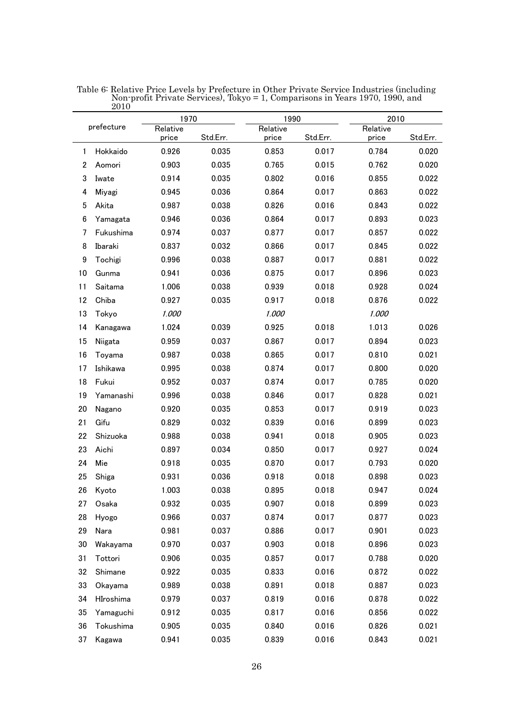|                  |            | 1970              |          | 1990              |          | 2010              |          |
|------------------|------------|-------------------|----------|-------------------|----------|-------------------|----------|
|                  | prefecture | Relative<br>price | Std.Err. | Relative<br>price | Std.Err. | Relative<br>price | Std.Err. |
| 1                | Hokkaido   | 0.926             | 0.035    | 0.853             | 0.017    | 0.784             | 0.020    |
| $\boldsymbol{2}$ | Aomori     | 0.903             | 0.035    | 0.765             | 0.015    | 0.762             | 0.020    |
| 3                | Iwate      | 0.914             | 0.035    | 0.802             | 0.016    | 0.855             | 0.022    |
| 4                | Miyagi     | 0.945             | 0.036    | 0.864             | 0.017    | 0.863             | 0.022    |
| 5                | Akita      | 0.987             | 0.038    | 0.826             | 0.016    | 0.843             | 0.022    |
| $\boldsymbol{6}$ | Yamagata   | 0.946             | 0.036    | 0.864             | 0.017    | 0.893             | 0.023    |
| 7                | Fukushima  | 0.974             | 0.037    | 0.877             | 0.017    | 0.857             | 0.022    |
| 8                | Ibaraki    | 0.837             | 0.032    | 0.866             | 0.017    | 0.845             | 0.022    |
| 9                | Tochigi    | 0.996             | 0.038    | 0.887             | 0.017    | 0.881             | 0.022    |
| 10               | Gunma      | 0.941             | 0.036    | 0.875             | 0.017    | 0.896             | 0.023    |
| 11               | Saitama    | 1.006             | 0.038    | 0.939             | 0.018    | 0.928             | 0.024    |
| 12               | Chiba      | 0.927             | 0.035    | 0.917             | 0.018    | 0.876             | 0.022    |
| 13               | Tokyo      | 1.000             |          | 1.000             |          | 1.000             |          |
| 14               | Kanagawa   | 1.024             | 0.039    | 0.925             | 0.018    | 1.013             | 0.026    |
| 15               | Niigata    | 0.959             | 0.037    | 0.867             | 0.017    | 0.894             | 0.023    |
| 16               | Toyama     | 0.987             | 0.038    | 0.865             | 0.017    | 0.810             | 0.021    |
| 17               | Ishikawa   | 0.995             | 0.038    | 0.874             | 0.017    | 0.800             | 0.020    |
| 18               | Fukui      | 0.952             | 0.037    | 0.874             | 0.017    | 0.785             | 0.020    |
| 19               | Yamanashi  | 0.996             | 0.038    | 0.846             | 0.017    | 0.828             | 0.021    |
| 20               | Nagano     | 0.920             | 0.035    | 0.853             | 0.017    | 0.919             | 0.023    |
| 21               | Gifu       | 0.829             | 0.032    | 0.839             | 0.016    | 0.899             | 0.023    |
| 22               | Shizuoka   | 0.988             | 0.038    | 0.941             | 0.018    | 0.905             | 0.023    |
| 23               | Aichi      | 0.897             | 0.034    | 0.850             | 0.017    | 0.927             | 0.024    |
| 24               | Mie        | 0.918             | 0.035    | 0.870             | 0.017    | 0.793             | 0.020    |
| 25               | Shiga      | 0.931             | 0.036    | 0.918             | 0.018    | 0.898             | 0.023    |
| 26               | Kyoto      | 1.003             | 0.038    | 0.895             | 0.018    | 0.947             | 0.024    |
| 27               | Osaka      | 0.932             | 0.035    | 0.907             | 0.018    | 0.899             | 0.023    |
| 28               | Hyogo      | 0.966             | 0.037    | 0.874             | 0.017    | 0.877             | 0.023    |
| 29               | Nara       | 0.981             | 0.037    | 0.886             | 0.017    | 0.901             | 0.023    |
| 30               | Wakayama   | 0.970             | 0.037    | 0.903             | 0.018    | 0.896             | 0.023    |
| 31               | Tottori    | 0.906             | 0.035    | 0.857             | 0.017    | 0.788             | 0.020    |
| 32               | Shimane    | 0.922             | 0.035    | 0.833             | 0.016    | 0.872             | 0.022    |
| 33               | Okayama    | 0.989             | 0.038    | 0.891             | 0.018    | 0.887             | 0.023    |
| 34               | HIroshima  | 0.979             | 0.037    | 0.819             | 0.016    | 0.878             | 0.022    |
| 35               | Yamaguchi  | 0.912             | 0.035    | 0.817             | 0.016    | 0.856             | 0.022    |
| 36               | Tokushima  | 0.905             | 0.035    | 0.840             | 0.016    | 0.826             | 0.021    |
| 37               | Kagawa     | 0.941             | 0.035    | 0.839             | 0.016    | 0.843             | 0.021    |

Table 6: Relative Price Levels by Prefecture in Other Private Service Industries (including Non-profit Private Services), Tokyo = 1, Comparisons in Years 1970, 1990, and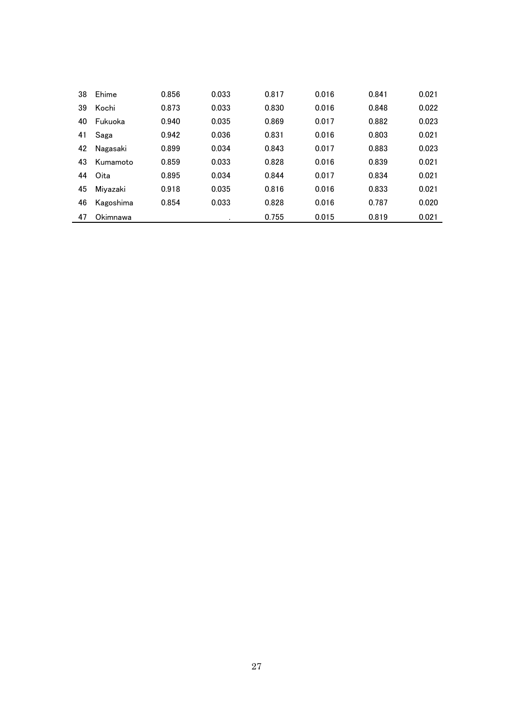| 38 | Ehime     | 0.856 | 0.033 | 0.817 | 0.016 | 0.841 | 0.021 |
|----|-----------|-------|-------|-------|-------|-------|-------|
| 39 | Kochi     | 0.873 | 0.033 | 0.830 | 0.016 | 0.848 | 0.022 |
| 40 | Fukuoka   | 0.940 | 0.035 | 0.869 | 0.017 | 0.882 | 0.023 |
| 41 | Saga      | 0.942 | 0.036 | 0.831 | 0.016 | 0.803 | 0.021 |
| 42 | Nagasaki  | 0.899 | 0.034 | 0.843 | 0.017 | 0.883 | 0.023 |
| 43 | Kumamoto  | 0.859 | 0.033 | 0.828 | 0.016 | 0.839 | 0.021 |
| 44 | Oita      | 0.895 | 0.034 | 0.844 | 0.017 | 0.834 | 0.021 |
| 45 | Miyazaki  | 0.918 | 0.035 | 0.816 | 0.016 | 0.833 | 0.021 |
| 46 | Kagoshima | 0.854 | 0.033 | 0.828 | 0.016 | 0.787 | 0.020 |
| 47 | Okimnawa  |       |       | 0.755 | 0.015 | 0.819 | 0.021 |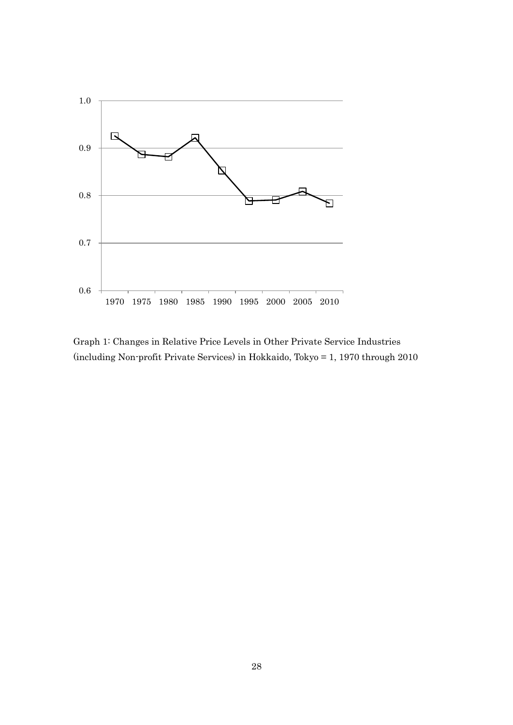

Graph 1: Changes in Relative Price Levels in Other Private Service Industries (including Non-profit Private Services) in Hokkaido, Tokyo = 1, 1970 through 2010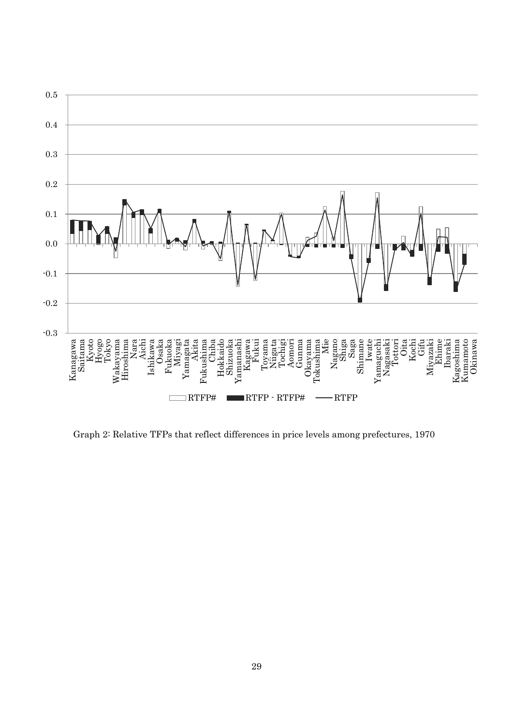

Graph 2: Relative TFPs that reflect differences in price levels among prefectures, 1970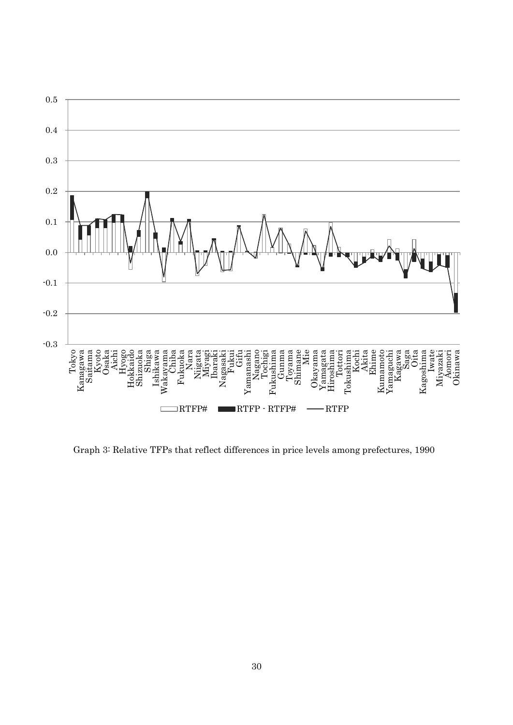

Graph 3: Relative TFPs that reflect differences in price levels among prefectures, 1990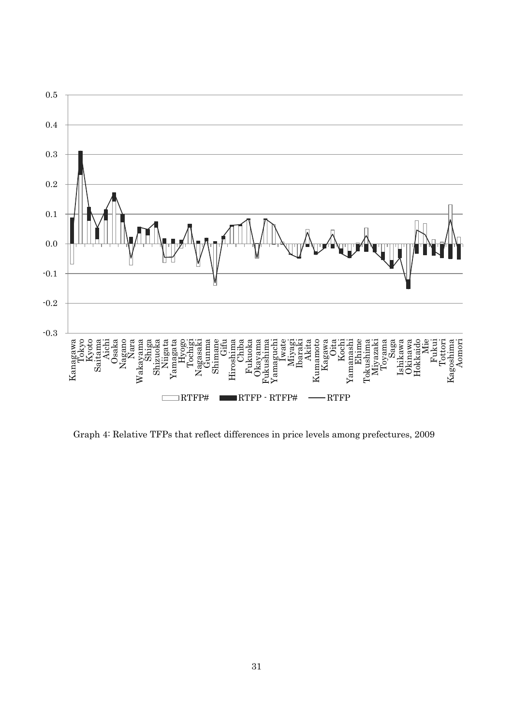

Graph 4: Relative TFPs that reflect differences in price levels among prefectures, 2009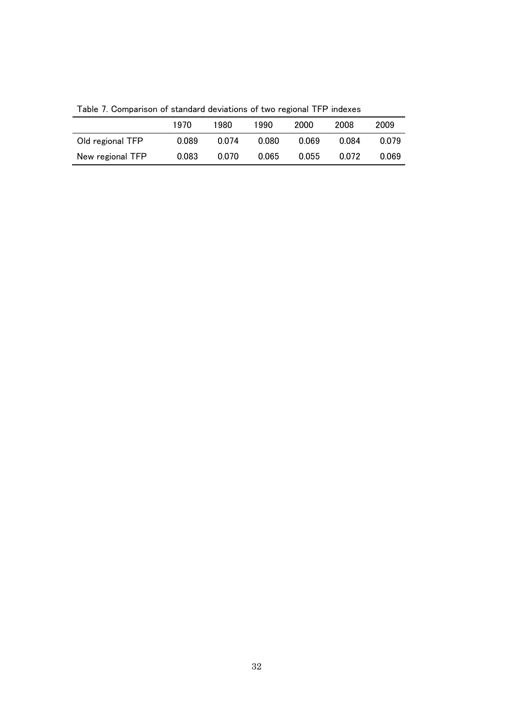|                  | 1970  | 1980  | 1990  | 2000  | 2008  | 2009  |
|------------------|-------|-------|-------|-------|-------|-------|
| Old regional TFP | 0.089 | 0.074 | 0.080 | 0.069 | 0.084 | 0.079 |
| New regional TFP | 0.083 | 0.070 | 0.065 | 0.055 | 0.072 | 0.069 |

Table 7. Comparison of standard deviations of two regional TFP indexes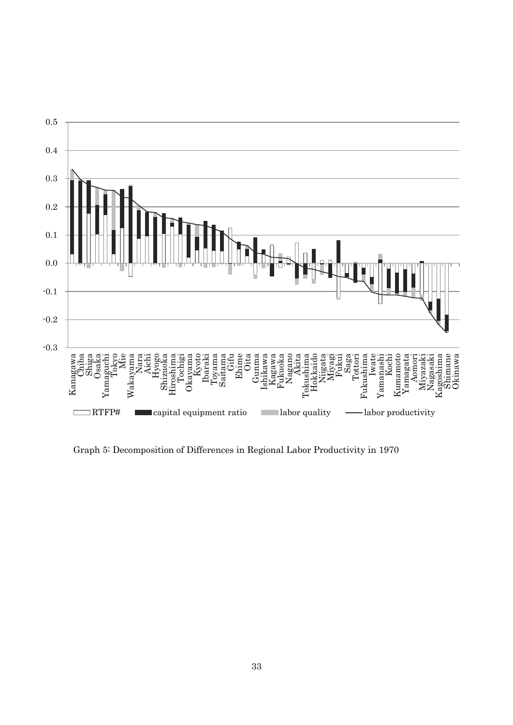

Graph 5: Decomposition of Differences in Regional Labor Productivity in 1970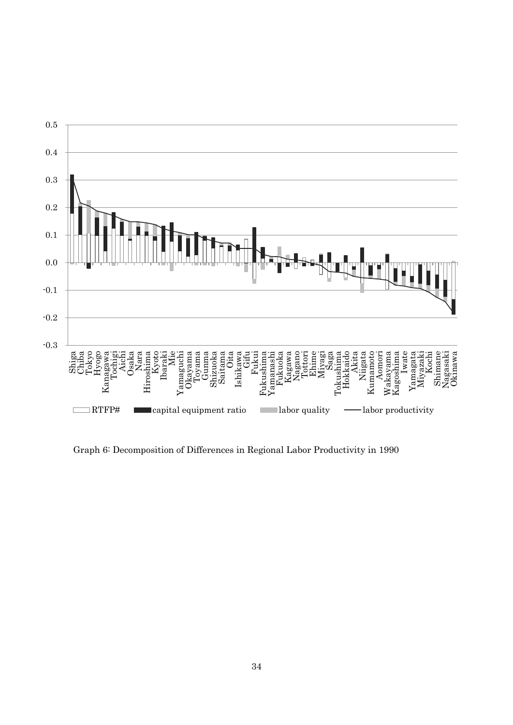

Graph 6: Decomposition of Differences in Regional Labor Productivity in 1990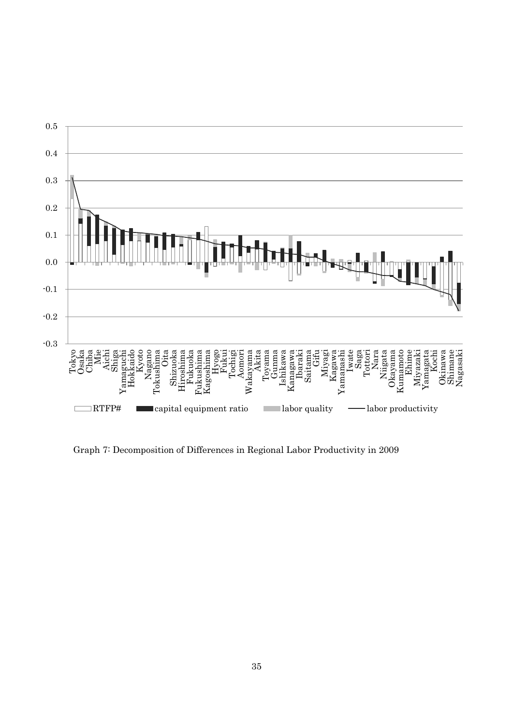

Graph 7: Decomposition of Differences in Regional Labor Productivity in 2009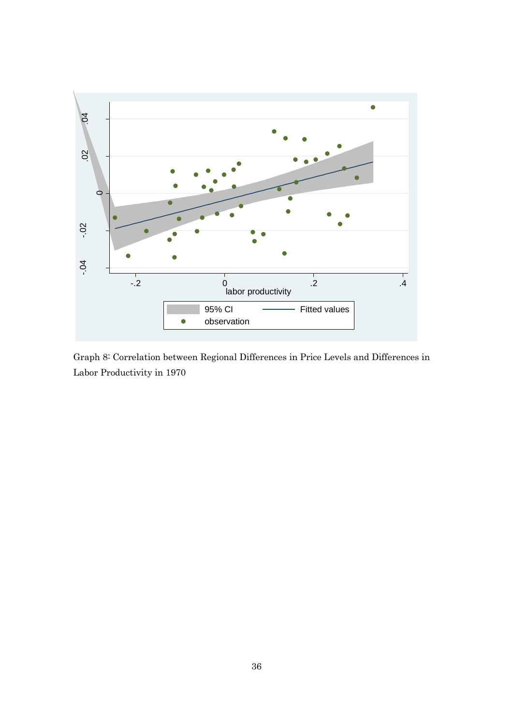

Graph 8: Correlation between Regional Differences in Price Levels and Differences in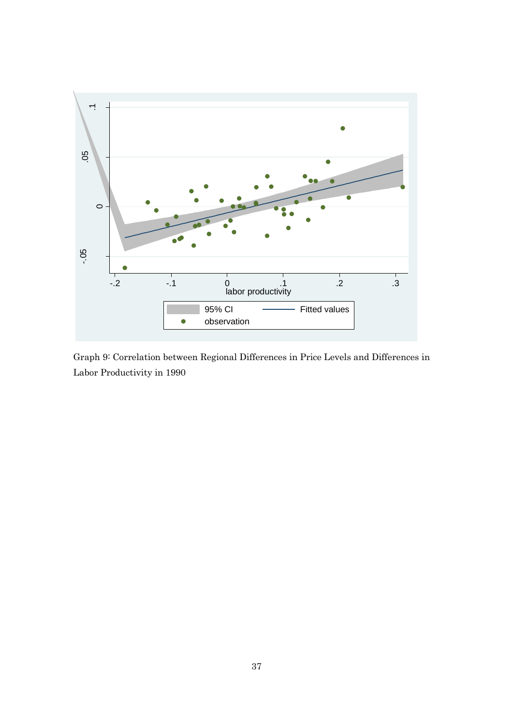

Graph 9: Correlation between Regional Differences in Price Levels and Differences in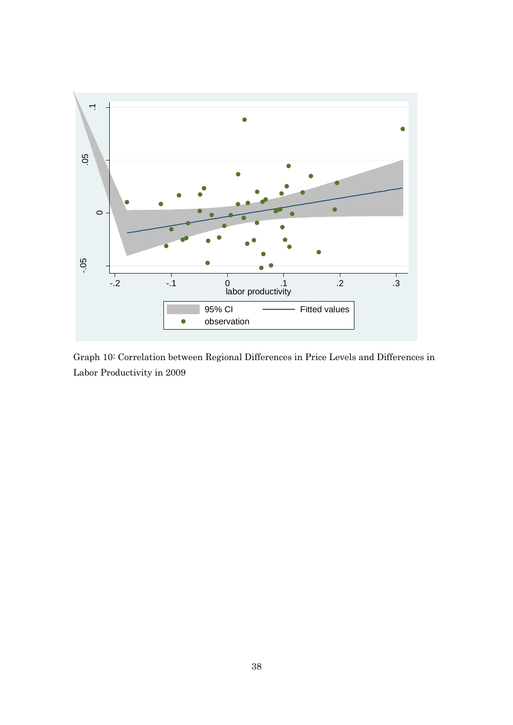

Graph 10: Correlation between Regional Differences in Price Levels and Differences in